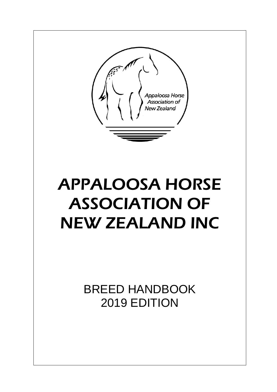Appaloosa Horse Association of New Zealand

# APPALOOSA HORSE ASSOCIATION OF NEW ZEALAND INC

BREED HANDBOOK 2019 EDITION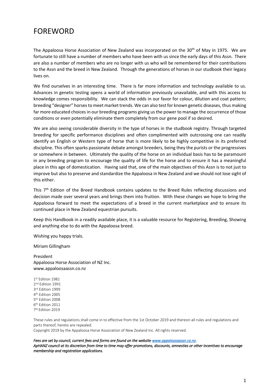## FOREWORD

The Appaloosa Horse Association of New Zealand was incorporated on the  $30<sup>th</sup>$  of May in 1975. We are fortunate to still have a number of members who have been with us since the early days of this Assn. There are also a number of members who are no longer with us who will be remembered for their contributions to the Assn and the breed in New Zealand. Through the generations of horses in our studbook their legacy lives on.

We find ourselves in an interesting time. There is far more information and technology available to us. Advances in genetic testing opens a world of information previously unavailable, and with this access to knowledge comes responsibility. We can stack the odds in our favor for colour, dilution and coat pattern; breeding "designer" horses to meet market trends. We can also test for known genetic diseases, thus making far more educated choices in our breeding programs giving us the power to manage the occurrence of those conditions or even potentially eliminate them completely from our gene pool if so desired.

We are also seeing considerable diversity in the type of horses in the studbook registry. Through targeted breeding for specific performance disciplines and often complimented with outcrossing one can readily identify an English or Western type of horse that is more likely to be highly competitive in its preferred discipline. This often sparks passionate debate amongst breeders, being they the purists or the progressives or somewhere in between. Ultimately the quality of the horse on an individual basis has to be paramount in any breeding program to encourage the quality of life for the horse and to ensure it has a meaningful place in this age of domestication. Having said that, one of the main objectives of this Assn is to not just to improve but also to preserve and standardize the Appaloosa in New Zealand and we should not lose sight of this either.

This  $7<sup>th</sup>$  Edition of the Breed Handbook contains updates to the Breed Rules reflecting discussions and decision made over several years and brings them into fruition. With these changes we hope to bring the Appaloosa forward to meet the expectations of a breed in the current marketplace and to ensure its continued place in New Zealand equestrian pursuits.

Keep this Handbook in a readily available place, it is a valuable resource for Registering, Breeding, Showing and anything else to do with the Appaloosa breed.

Wishing you happy trials.

Miriam Gillingham

President Appaloosa Horse Association of NZ Inc. www.appaloosaassn.co.nz

 st Edition 1981 nd Edition 1991 rd Edition 1999 th Edition 2005 th Edition 2008 th Edition 2011 th Edition 2019

These rules and regulations shall come in to effective from the 1st October 2019 and thereon all rules and regulations and parts thereof, hereto are repealed. Copyright 2019 by the Appaloosa Horse Association of New Zealand Inc. All rights reserved.

*Fees are set by council, current fees and forms are found on the website [www.appaloosaassn.co.nz.](http://www.appaloosaassn.co.nz/)  ApHANZ council at its discretion from time to time may offer promotions, discounts, amnesties or other incentives to encourage membership and registration applications.*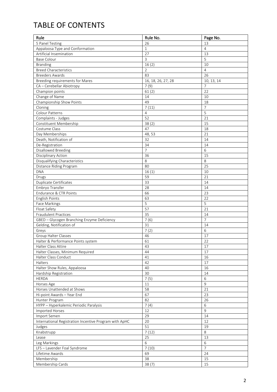## TABLE OF CONTENTS

| Rule                                                   | Rule No.           | Page No.       |
|--------------------------------------------------------|--------------------|----------------|
| 5 Panel Testing                                        | 26                 | 13             |
| Appaloosa Type and Conformation                        | $\mathbf{1}$       | $\overline{4}$ |
| Artificial Insemination                                | 27                 | 13             |
| <b>Base Colour</b>                                     | 3                  | 5              |
| <b>Branding</b>                                        | 16(2)              | 10             |
| <b>Breed Characteristics</b>                           | $\overline{2}$     | $\overline{4}$ |
| <b>Breeders Awards</b>                                 | 83                 | 26             |
| Breeding requirements for Mares                        | 16, 18, 26, 27, 28 | 10, 13, 14     |
| CA - Cerebellar Abiotropy                              | 7(9)               | $\overline{7}$ |
| Champion points                                        | 61(2)              | 22             |
| Change of Name                                         | 14                 | 10             |
| Championship Show Points                               | 49                 | 18             |
| Cloning                                                | 7(11)              | 7              |
| Colour Patterns                                        | $\overline{4}$     | 5              |
| Complaints - Judges                                    | 52                 | 21             |
| Constituent Membership                                 | 38(2)              | 15             |
| Costume Class                                          | 47                 | 18             |
| Day Memberships                                        | 48,53              | 21             |
| Death, Notification of                                 | 32                 | 14             |
| De-Registration                                        | 34                 | 14             |
| Disallowed Breeding                                    | 7                  | 6              |
| Disciplinary Action                                    | 36                 | 15             |
| Disqualifying Characteristics                          | 8                  | 8              |
| Distance Riding Program                                | 80                 | 25             |
| <b>DNA</b>                                             | 16(1)              | 10             |
| Drugs                                                  | 59                 | 21             |
| Duplicate Certificates                                 | 33                 | 14             |
| Embryo Transfer                                        | 28                 | 14             |
| Endurance & CTR Points                                 | 66                 | 23             |
| English Points                                         | 63                 | 22             |
| Face Markings                                          | 5                  | 5              |
| Float Safety                                           | 57                 | 21             |
| <b>Fraudulent Practices</b>                            | 35                 | 14             |
| GBED - Glycogen Branching Enzyme Deficiency            | 7(6)               | $\overline{7}$ |
| Gelding, Notification of                               | 31                 | 14             |
| Greys                                                  | 7(2)               | 6              |
| Group Halter Classes                                   | 46                 | 17             |
| Halter & Performance Points system                     | 61                 | 22             |
| Halter Class Attire                                    | 43                 | 17             |
| Halter Classes, Minimum Required                       | 44                 | 17             |
| Halter Class Conduct                                   | 41                 | 16             |
| Halters                                                | 42                 | 17             |
| Halter Show Rules, Appaloosa                           | 40                 | 16             |
| Hardship Registration                                  | 30                 | 14             |
| <b>HERDA</b>                                           | 7(5)               | 6              |
| Horses Age                                             | 11                 | $\overline{9}$ |
| Horses Unattended at Shows                             | 58                 | 21             |
| Hi-point Awards - Year End                             | 67                 | 23             |
| Hunter Program                                         | 82                 | 26             |
| HYPP - Hyperkalemic Periodic Paralysis                 | 7(4)               | 6              |
| Imported Horses                                        | 12                 | 9              |
| Import Semen                                           | 29                 | 14             |
| International Registration Incentive Program with ApHC | 20                 | 12             |
| Judges                                                 | 51                 | 19             |
| Knabstrupp                                             | 7(12)              | 8              |
| Lease                                                  | 25                 | 13             |
| Leg Markings                                           | 6                  | 6              |
| LFS - Lavender Foal Syndrome                           | 7(10)              | $\overline{7}$ |
| Lifetime Awards                                        | 69                 | 24             |
| Membership                                             | 38                 | 15             |
| Membership Cards                                       | 38(7)              | 15             |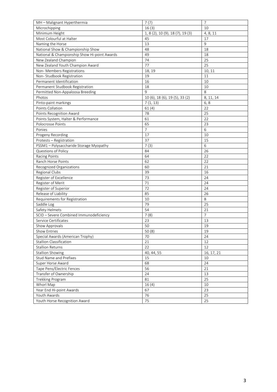| MH - Malignant Hyperthermia                  | 7(7)                             | $\overline{7}$ |
|----------------------------------------------|----------------------------------|----------------|
| Microchipping                                | 16(3)                            | 10             |
| Minimum Height                               | 1, 8 (2), 10 (9), 18 (7), 19 (3) | 4, 8, 11       |
| Most Colourful at Halter                     | 45                               | 17             |
| Naming the Horse                             | 13                               | 9              |
| National Show & Championship Show            | 48                               | 18             |
| National & Championship Show Hi-point Awards | 49                               | 18             |
| New Zealand Champion                         | 74                               | 25             |
| New Zealand Youth Champion Award             | 77                               | 25             |
| Non- Members Registrations                   | 18, 19                           | 10, 11         |
| Non-Studbook Registration                    | 19                               | 11             |
| Permanent Identification                     | 16                               | 10             |
| Permanent Studbook Registration              | 18                               | 10             |
| Permitted Non-Appaloosa Breeding             | 9                                | 8              |
| Photos                                       | 10 (6), 18 (6), 19 (5), 33 (2)   | 8, 11, 14      |
| Pinto-paint markings                         | 7(1, 13)                         | 6, 8           |
| Points Collation                             | 61(4)                            | 22             |
| Points Recognition Award                     | 78                               | 25             |
| Points System, Halter & Performance          | 61                               | 22             |
| Polocrosse Points                            | 65                               | 23             |
| Ponies                                       | $\overline{7}$                   | 6              |
| Progeny Recording                            | 17                               | 10             |
| Protests - Registration                      | 37                               | 15             |
| PSSM1 - Polysaccharide Storage Myopathy      | 7(3)                             | 6              |
| Questions of Policy                          | 84                               | 26             |
| Racing Points                                | 64                               | 22             |
| Ranch Horse Points                           | 62                               | 22             |
| Recognized Organizations                     | 60                               | 21             |
| Regional Clubs                               | 39                               | 16             |
| Register of Excellence                       | $\overline{73}$                  | 24             |
| Register of Merit                            | 71                               | 24             |
| Register of Superior                         | 72                               | 24             |
| Release of Liability                         | 85                               | 26             |
| Requirements for Registration                | 10                               | 8              |
| Saddle Log                                   | 79                               | 25             |
| Safety Helmets                               | 54                               | 21             |
| SCID - Severe Combined Immunodeficiency      | 7(8)                             | $\overline{7}$ |
| Service Certificates                         | 23                               | 13             |
| Show Approvals                               | 50                               | 19             |
| Show Entries                                 | 50(8)                            | 19             |
| Special Awards (American Trophy)             | 70                               | 24             |
| <b>Stallion Classification</b>               | 21                               | 12             |
| <b>Stallion Returns</b>                      | 22                               | 12             |
| <b>Stallion Showing</b>                      | 40, 44, 55                       | 16, 17, 21     |
| <b>Stud Name and Prefixes</b>                | 15                               | 10             |
| Super Horse Award                            | 68                               | 24             |
| Tape Pens/Electric Fences                    | 56                               | 21             |
| Transfer of Ownership                        | 24                               | 13             |
| Trekking Program                             | 81                               | 25             |
| Whorl Map                                    | 16(4)                            | 10             |
| Year End Hi-point Awards                     | 67                               | 23             |
| Youth Awards                                 | 76                               | 25             |
| Youth Horse Recognition Award                | 75                               | 25             |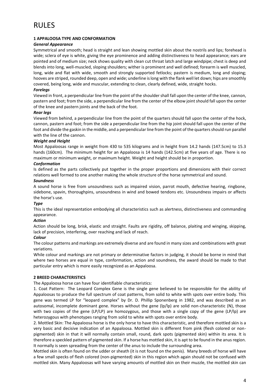## RULES

### **1 APPALOOSA TYPE AND CONFORMATION**

#### *General Appearance*

Symmetrical and smooth; head is straight and lean showing mottled skin about the nostrils and lips; forehead is wide; sclera of eye is white, giving the eye prominence and adding distinctiveness to head appearance; ears are pointed and of medium size; neck shows quality with clean cut throat latch and large windpipe; chest is deep and blends into long, well-muscled, sloping shoulders; wither is prominent and well defined; forearm is well muscled, long, wide and flat with wide, smooth and strongly supported fetlocks; pastern is medium, long and sloping; hooves are striped, rounded deep, open and wide; underline is long with the flank well let down; hips are smoothly covered, being long, wide and muscular, extending to clean, clearly defined, wide, straight hocks.

#### *Forelegs*

Viewed in front, a perpendicular line from the point of the shoulder shall fall upon the center of the knee, cannon, pastern and foot; from the side, a perpendicular line from the center of the elbow joint should fall upon the center of the knee and pastern joints and the back of the foot.

#### *Rear legs*

Viewed from behind, a perpendicular line from the point of the quarters should fall upon the center of the hock, cannon, pastern and foot; from the side a perpendicular line from the hip joint should fall upon the center of the foot and divide the gaskin in the middle, and a perpendicular line from the point of the quarters should run parallel with the line of the cannon.

#### *Weight and Height*

Most Appaloosas range in weight from 430 to 535 kilograms and in height from 14.2 hands (147.5cm) to 15.3 hands (160cm). The minimum height for an Appaloosa is 14 hands (142.5cm) at five years of age. There is no maximum or minimum weight, or maximum height. Weight and height should be in proportion.

#### *Conformation*

Is defined as the parts collectively put together in the proper proportions and dimensions with their correct relations well formed to one another making the whole structure of the horse symmetrical and sound.

#### *Soundness*

A sound horse is free from unsoundness such as impaired vision, parrot mouth, defective hearing, ringbone, sidebone, spavin, thoroughpins, unsoundness in wind and bowed tendons etc. Unsoundness impairs or affects the horse's use.

### *Type*

This is the ideal representation embodying all characteristics such as alertness, distinctiveness and commanding appearance.

### *Action*

Action should be long, brisk, elastic and straight. Faults are rigidity, off balance, plaiting and winging, skipping, lack of precision, interfering, over reaching and lack of reach.

#### *Colour*

The colour patterns and markings are extremely diverse and are found in many sizes and combinations with great variations.

While colour and markings are not primary or determinative factors in judging, it should be borne in mind that where two horses are equal in type, conformation, action and soundness, the award should be made to that particular entry which is more easily recognized as an Appaloosa.

### **2 BREED CHARACTERISTICS**

The Appaloosa horse can have four identifiable characteristics:

1. Coat Pattern: The Leopard Complex Gene is the single gene believed to be responsible for the ability of Appaloosas to produce the full spectrum of coat patterns, from solid to white with spots over entire body. This gene was termed LP for "leopard complex" by Dr. D. Phillip Sponenberg in 1982, and was described as an autosomal, incomplete dominant gene. Horses without the gene (lp/lp) are solid non-characteristic (N), those with two copies of the gene (LP/LP) are homozygous, and those with a single copy of the gene (LP/lp) are heterozygous with phenotypes ranging from solid to white with spots over entire body.

2. Mottled Skin: The Appaloosa horse is the only horse to have this characteristic, and therefore mottled skin is a very basic and decisive indication of an Appaloosa. Mottled skin is different from pink (flesh colored or nonpigmented) skin in that it will normally contain small, round, dark spots (pigmented skin) within its area. It is therefore a speckled pattern of pigmented skin. If a horse has mottled skin, it is apt to be found in the anus region. It normally is seen spreading from the center of the anus to include the surrounding area.

Mottled skin is often found on the udder or sheath (it is not found on the penis). Many breeds of horse will have a few small specks of flesh colored (non-pigmented) skin in this region which again should not be confused with mottled skin. Many Appaloosas will have varying amounts of mottled skin on their muzzle, the mottled skin can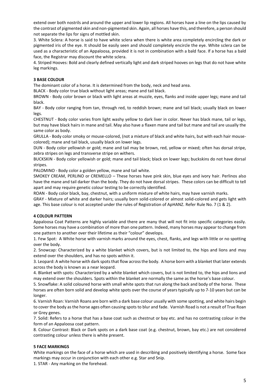extend over both nostrils and around the upper and lower lip regions. All horses have a line on the lips caused by the contrast of pigmented skin and non-pigmented skin. Again, all horses have this, and therefore, a person should not separate the lips for signs of mottled skin.

3. White Sclera: A horse is said to have white sclera when there is white area completely encircling the dark or pigmented iris of the eye. It should be easily seen and should completely encircle the eye. White sclera can be used as a characteristic of an Appaloosa, provided it is not in combination with a bald face. If a horse has a bald face, the Registrar may discount the white sclera.

4. Striped Hooves: Bold and clearly defined vertically light and dark striped hooves on legs that do not have white leg markings.

#### **3 BASE COLOUR**

The dominant color of a horse. It is determined from the body, neck and head area.

BLACK - Body color true black without light areas; mane and tail black.

BROWN - Body color brown or black with light areas at muzzle, eyes, flanks and inside upper legs; mane and tail black.

BAY - Body color ranging from tan, through red, to reddish brown; mane and tail black; usually black on lower legs.

CHESTNUT - Body color varies from light washy yellow to dark liver in color. Never has black mane, tail or legs, but may have black hairs in mane and tail. May also have a flaxen mane and tail but mane and tail are usually the same color as body.

GRULLA - Body color smoky or mouse-colored, (not a mixture of black and white hairs, but with each hair mousecolored); mane and tail black, usually black on lower legs.

DUN - Body color yellowish or gold; mane and tail may be brown, red, yellow or mixed; often has dorsal stripe, zebra stripes on legs and transverse stripe on withers.

BUCKSKIN - Body color yellowish or gold; mane and tail black; black on lower legs; buckskins do not have dorsal stripes.

PALOMINO - Body color a golden yellow, mane and tail white.

SMOKEY CREAM, PERLINO or CREMELLO – These horses have pink skin, blue eyes and ivory hair. Perlinos also have the mane and tail darker than the body. They do not have dorsal stripes. These colors can be difficult to tell apart and may require genetic colour testing to be correctly identified.

ROAN - Body color black, bay, chestnut, with a uniform mixture of white hairs, may have varnish marks.

GRAY - Mixture of white and darker hairs; usually born solid-colored or almost solid-colored and gets light with age. This base colour is not accepted under the rules of Registration of ApHANZ. Refer Rule No. 7 (1 & 2).

#### **4 COLOUR PATTERN**

Appaloosa Coat Patterns are highly variable and there are many that will not fit into specific categories easily. Some horses may have a combination of more than one pattern. Indeed, many horses may appear to change from one pattern to another over their lifetime as their "colour" develops.

1. Few Spot: A White horse with varnish marks around the eyes, chest, flanks, and legs with little or no spotting over the body.

2. Snowcap: Characterized by a white blanket which covers, but is not limited to, the hips and lions and may extend over the shoulders, and has no spots within it.

3. Leopard: A white horse with dark spots that flow across the body. A horse born with a blanket that later extends across the body is known as a near leopard.

4. Blanket with spots: Characterized by a white blanket which covers, but is not limited to, the hips and lions and may extend over the shoulders. Spots within the blanket are normally the same as the horse's base colour.

5. Snowflake: A solid coloured horse with small white spots that run along the back and body of the horse. These horses are often born solid and develop white spots over the course of years typically up to 7-10 years but can be longer.

6. Varnish Roan: Varnish Roans are born with a dark base colour usually with some spotting, and white hairs begin to cover the body as the horse ages often causing spots to blur and fade. Varnish Road is not a result of True Roan or Grey genes.

7. Solid: Refers to a horse that has a base coat such as chestnut or bay etc. and has no contrasting colour in the form of an Appaloosa coat pattern.

8. Colour Contrast: Black or Dark spots on a dark base coat (e.g. chestnut, brown, bay etc.) are not considered contrasting colour unless there is white present.

#### **5 FACE MARKINGS**

White markings on the face of a horse which are used in describing and positively identifying a horse. Some face markings may occur in conjunction with each other e.g. Star and Snip.

1. STAR - Any marking on the forehead.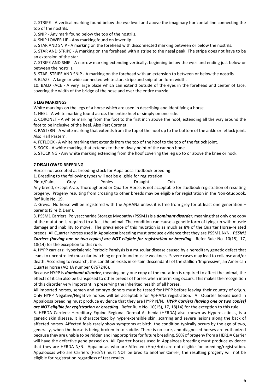2. STRIPE - A vertical marking found below the eye level and above the imaginary horizontal line connecting the top of the nostrils.

3. SNIP - Any mark found below the top of the nostrils.

4. SNIP LOWER LIP - Any marking found on lower lip.

5. STAR AND SNIP - A marking on the forehead with disconnected marking between or below the nostrils.

6. STAR AND STRIPE - A marking on the forehead with a stripe to the nasal peak. The stripe does not have to be an extension of the star.

7. STRIPE AND SNIP - A narrow marking extending vertically, beginning below the eyes and ending just below or between the nostrils.

8. STAR, STRIPE AND SNIP - A marking on the forehead with an extension to between or below the nostrils.

9. BLAZE - A large or wide connected white star, stripe and snip of uniform width.

10. BALD FACE - A very large blaze which can extend outside of the eyes in the forehead and center of face, covering the width of the bridge of the nose and over the entire muzzle.

#### **6 LEG MARKINGS**

White markings on the legs of a horse which are used in describing and identifying a horse.

1. HEEL - A white marking found across the entire heel or simply on one side.

2. CORONET - A white marking from the foot to the first inch above the hoof, extending all the way around the foot to be inclusive of the heel. Also Part Coronet.

3. PASTERN - A white marking that extends from the top of the hoof up to the bottom of the ankle or fetlock joint. Also Half Pastern.

4. FETLOCK - A white marking that extends from the top of the hoof to the top of the fetlock joint.

5. SOCK - A white marking that extends to the midway point of the cannon bone.

6. STOCKING - Any white marking extending from the hoof covering the leg up to or above the knee or hock.

#### **7 DISALLOWED BREEDING**

Horses not accepted as breeding stock for Appaloosa studbook breeding:

1. Breeding to the following types will not be eligible for registration:

Pinto/Paint Grey Ponies Draught Cob

Any breed, except Arab, Thoroughbred or Quarter Horse, is not acceptable for studbook registration of resulting progeny. Progeny resulting from crossing to other breeds may be eligible for registration in the Non-Studbook. Ref Rule No. 19.

2. Greys: No horse will be registered with the ApHANZ unless it is free from grey for at least one generation – parents (Sire & Dam).

3. PSSM1 Carriers: Polysaccharide Storage Myopathy (PSSM1) is a *dominant disorder*, meaning that only one copy of the mutation is required to affect the animal. The condition can cause a genetic form of tying-up with muscle damage and inability to move. The prevalence of this mutation is as much as 8% of the Quarter Horse-related breeds. All Quarter horses used in Appaloosa breeding must produce evidence that they are PSSM1 N/N. *PSSM1 Carriers (having one or two copies) are NOT eligible for registration or breeding*. Refer Rule No. 10(15), 17, 18(14) for the exception to this rule.

4. HYPP carriers: Hyperkalemic Periodic Paralysis is a muscular disease caused by a hereditary genetic defect that leads to uncontrolled muscular twitching or profound muscle weakness. Severe cases may lead to collapse and/or death. According to research, this condition exists in certain descendants of the stallion 'Impressive', an American Quarter horse (AQHA number 0767246).

Because HYPP is *dominant disorder*, meaning only one copy of the mutation is required to affect the animal, the effects of it can also be transposed to other breeds of horses when intermixing occurs. This makes the recognition of this disorder very important in preserving the inherited health of all horses.

All imported horses, semen and embryo donors must be tested for HYPP before leaving their country of origin. Only HYPP Negative/Negative horses will be acceptable for ApHANZ registration. All Quarter horses used in Appaloosa breeding must produce evidence that they are HYPP N/N. *HYPP Carriers (having one or two copies) are NOT eligible for registration or breeding*. Refer Rule No. 10(15), 17, 18(14) for the exception to this rule.

5. HERDA Carriers: Hereditary Equine Regional Dermal Asthenia (HERDA) also known as Hyperelastiosis, is a genetic skin disease, it is characterized by hyperextensible skin, scarring and severe lesions along the back of affected horses. Affected foals rarely show symptoms at birth, the condition typically occurs by the age of two, generally, when the horse is being broken in to saddle. There is no cure, and diagnosed horses are euthanized because they are unable to be ridden and inappropriate for future breeding. 50% of progeny from a HERDA Carrier will have the defective gene passed on. All Quarter horses used in Appaloosa breeding must produce evidence that they are HERDA N/N. Appaloosas who are Affected (Hrd/Hrd) are not eligible for breeding/registration. Appaloosas who are Carriers (Hrd/N) must NOT be bred to another Carrier; the resulting progeny will not be eligible for registration regardless of test results.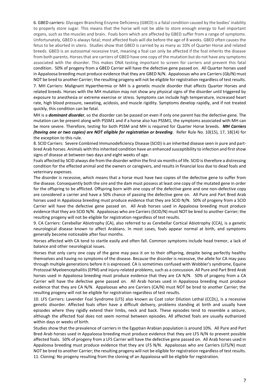6. GBED carriers: Glycogen Branching Enzyme Deficiency (GBED) is a fatal condition caused by the bodies' inability to properly store sugar. This means that the horse will not be able to store enough energy to fuel important organs, such as the muscles and brain. Foals born which are affected by GBED suffer from a range of symptoms. Unfortunately, GBED is always fatal; most affected foals will die before the age of 8 weeks. GBED often causes the fetus to be aborted in utero. Studies show that GBED is carried by as many as 10% of Quarter Horse and related breeds. GBED is an autosomal recessive trait, meaning a foal can only be affected if the foal inherits the disease from both parents. Horses that are carriers of GBED have one copy of the mutation but do not have any symptoms associated with the disorder. This makes DNA testing important to screen for carriers and prevent this fatal condition. 50% of progeny from a GBED Carrier will have the defective gene passed on. All Quarter horses used in Appaloosa breeding must produce evidence that they are GBED N/N. Appaloosas who are Carriers (Gb/N) must NOT be bred to another Carrier; the resulting progeny will not be eligible for registration regardless of test results.

7. MH Carriers: Malignant Hyperthermia or MH is a genetic muscle disorder that affects Quarter Horses and related breeds. Horses with the MH mutation may not show any physical signs of the disorder until triggered by exposure to anesthesia or extreme exercise or stress. Symptoms can include high temperature, increased heart rate, high blood pressure, sweating, acidosis, and muscle rigidity. Symptoms develop rapidly, and if not treated quickly, this condition can be fatal.

MH is a *dominant disorder*, so the disorder can be passed on even if only one parent has the defective gene. The mutation can be present along with [PSSM1](https://www.animalgenetics.us/Equine/Genetic_Disease/PSSM.asp) and if a horse also has PSSM1, the symptoms associated with MH can be more severe. Therefore, testing for both PSSM and MH is required for Quarter Horse breeds. *MH Carriers (having one or two copies) are NOT eligible for registration or breeding*. Refer Rule No. 10(15), 17, 18(14) for the exception to this rule.

8. SCID Carriers: Severe Combined Immunodeficiency Disease (SCID) is an inherited disease seen in pure and partbred Arab horses. Animals with this inherited condition have an enhanced susceptibility to infection and first show signs of disease at between two days and eight weeks of age.

Foals affected by SCID always die from the disorder within the first six months of life. SCID is therefore a distressing condition for the effected animal and the owners or caregivers, and results in financial loss due to dead foals and veterinary expenses.

The disorder is recessive, which means that a horse must have two copies of the defective gene to suffer from the disease. Consequently both the sire and the dam must possess at least one copy of the mutated gene in order for the offspring to be afflicted. Offspring born with one copy of the defective gene and one non-defective copy are considered a carrier and have a 50% chance of passing the defective gene on. All Pure and Part Bred Arab horses used in Appaloosa breeding must produce evidence that they are SCID N/N. 50% of progeny from a SCID Carrier will have the defective gene passed on. All Arab horses used in Appaloosa breeding must produce evidence that they are SCID N/N. Appaloosas who are Carriers (SCID/N) must NOT be bred to another Carrier; the resulting progeny will not be eligible for registration regardless of test results.

9. CA Carriers: Cerebellar Abiotrophy (CA), also referred to as Cerebellar Cortical Abiotrophy (CCA), is a genetic neurological disease known to affect Arabians. In most cases, foals appear normal at birth, and symptoms generally become noticeable after four months.

Horses affected with CA tend to startle easily and often fall. Common symptoms include head tremor, a lack of balance and other neurological issues.

Horses that only carry one copy of the gene may pass it on to their offspring, despite being perfectly healthy themselves and having no symptoms of the disease. Because the disorder is recessive, the allele for CA may pass through multiple generations before it is expressed. CA is sometimes confused with Wobbler's syndrome, Equine Protozoal Myeloencephalitis (EPM) and injury-related problems, such as a concussion. All Pure and Part Bred Arab horses used in Appaloosa breeding must produce evidence that they are CA N/N. 50% of progeny from a CA Carrier will have the defective gene passed on. All Arab horses used in Appaloosa breeding must produce evidence that they are CA N/N. Appaloosas who are Carriers (CA/N) must NOT be bred to another Carrier; the resulting progeny will not be eligible for registration regardless of test results.

10. LFS Carriers: Lavender Foal Syndrome (LFS) also known as Coat color Dilution Lethal (CCDL), is a recessive genetic disorder. Affected foals often have a difficult delivery, problems standing at birth and usually have episodes where they rigidly extend their limbs, neck and back. These episodes tend to resemble a seizure, although the affected foal does not seem normal between episodes. All affected foals are usually euthanized within days or weeks of birth.

Studies show that the prevalence of carriers in the Egyptian Arabian population is around 10%. All Pure and Part Bred Arab horses used in Appaloosa breeding must produce evidence that they are LFS N/N to prevent possible affected foals. 50% of progeny from a LFS Carrier will have the defective gene passed on. All Arab horses used in Appaloosa breeding must produce evidence that they are LFS N/N. Appaloosas who are Carriers (LFS/N) must NOT be bred to another Carrier; the resulting progeny will not be eligible for registration regardless of test results. 11. Cloning: No progeny resulting from the cloning of an Appaloosa will be eligible for registration.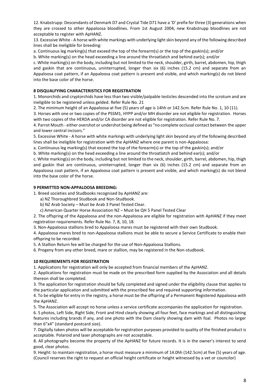12. Knabstrupp: Descendants of Denmark D7 and Crystal Tide D71 have a 'D' prefix for three (3) generations when they are crossed to other Appaloosa bloodlines. From 1st August 2004, new Knabstrupp bloodlines are not acceptable to register with ApHANZ.

13. Excessive White - A horse with white markings with underlying light skin beyond any of the following described lines shall be ineligible for breeding:

a. Continuous leg marking(s) that exceed the top of the forearm(s) or the top of the gaskin(s); and/or

b. White marking(s) on the head exceeding a line around the throatlatch and behind ear(s); and/or

c. White marking(s) on the body, including but not limited to the neck, shoulder, girth, barrel, abdomen, hip, thigh and gaskin that are continuous, uninterrupted, longer than six (6) inches (15.2 cm) and separate from an Appaloosa coat pattern, if an Appaloosa coat pattern is present and visible, and which marking(s) do not blend into the base color of the horse.

#### **8 DISQUALFYING CHARACTERISTICS FOR REGISTRATION**

1. Monorchids and cryptorchids have less than two visible/palpable testicles descended into the scrotum and are ineligible to be registered unless gelded. Refer Rule No. 21

2. The minimum height of an Appaloosa at five (5) years of age is 14hh or 142.5cm. Refer Rule No. 1, 10 (11).

3. Horses with one or two copies of the PSSM1, HYPP and/or MH disorder are not eligible for registration. Horses with two copies of the HERDA and/or CA disorder are not eligible for registration. Refer Rule No. 7.

4. Parrot Mouth - either overshot or undershot being defined as "no complete occlusal contact between the upper and lower central incisors."

5. Excessive White - A horse with white markings with underlying light skin beyond any of the following described lines shall be ineligible for registration with the ApHANZ where one parent is non-Appaloosa:

a. Continuous leg marking(s) that exceed the top of the forearm(s) or the top of the gaskin(s); and/or

b. White marking(s) on the head exceeding a line around the throatlatch and behind ear(s); and/or

c. White marking(s) on the body, including but not limited to the neck, shoulder, girth, barrel, abdomen, hip, thigh and gaskin that are continuous, uninterrupted, longer than six (6) inches (15.2 cm) and separate from an Appaloosa coat pattern, if an Appaloosa coat pattern is present and visible, and which marking(s) do not blend into the base color of the horse.

#### **9 PERMITTED NON-APPALOOSA BREEDING:**

1. Breed societies and Studbooks recognised by ApHANZ are:

a) NZ Thoroughbred Studbook and Non-Studbook.

b) NZ Arab Society – Must be Arab 3 Panel Tested Clear.

c) American Quarter Horse Association NZ – Must be QH 5 Panel Tested Clear

2. The offspring of the Appaloosa and the non-Appaloosa are eligible for registration with ApHANZ if they meet registration requirements. Refer Rule No. 7, 8, 10, 18.

3. Non-Appaloosa stallions bred to Appaloosa mares must be registered with their own Studbook.

4. Appaloosa mares bred to non-Appaloosa stallions must be able to secure a Service Certificate to enable their offspring to be recorded.

5. A Stallion Return fee will be charged for the use of Non-Appaloosa Stallions.

6. Progeny from any other breed, mare or stallion, may be registered in the Non-studbook.

#### **10 REQUIREMENTS FOR REGISTRATION**

1. Applications for registration will only be accepted from financial members of the ApHANZ.

2. Applications for registration must be made on the prescribed form supplied by the Association and all details thereon shall be completed.

3. The application for registration should be fully completed and signed under the eligibility clause that applies to the particular application and submitted with the prescribed fee and required supporting information.

4. To be eligible for entry in the registry, a horse must be the offspring of a Permanent Registered Appaloosa with the ApHANZ.

5. The Association will accept no horse unless a service certificate accompanies the application for registration.

6. 5 photos, Left Side, Right Side, Front and Hind clearly showing all four feet, face markings and all distinguishing features including brands if any, and one photo with the Dam clearly showing dam with foal. Photos no larger than 6"x4" (standard postcard size).

7. Digitally taken photos will be acceptable for registration purposes provided to quality of the finished product is acceptable. Polaroid and laser photographs are not acceptable.

8. All photographs become the property of the ApHANZ for future records. It is in the owner's interest to send good, clear photos.

9. Height: to maintain registration, a horse must measure a minimum of 14.0hh (142.5cm) at five (5) years of age. (Council reserves the right to request an official height certificate or height witnessed by a vet or councilor)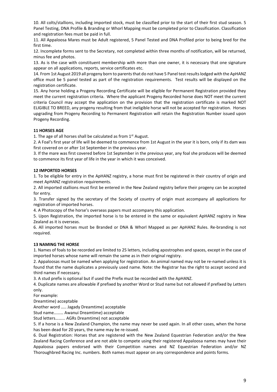10. All colts/stallions, including imported stock, must be classified prior to the start of their first stud season. 5 Panel Testing, DNA Profile & Branding or Whorl Mapping must be completed prior to Classification. Classification and registration fees must be paid in full.

11. All Appaloosa Mares must be Adult registered, 5 Panel Tested and DNA Profiled prior to being bred for the first time.

12. Incomplete forms sent to the Secretary, not completed within three months of notification, will be returned, minus fee and photos.

13. As is the case with constituent membership with more than one owner, it is necessary that one signature appear on all applications, reports, service certificates etc.

14. From 1st August 2019 all progeny born to parents that do not have 5 Panel test results lodged with the ApHANZ office must be 5 panel tested as part of the registration requirements. Test results will be displayed on the registration certificate.

15. Any horse holding a Progeny Recording Certificate will be eligible for Permanent Registration provided they meet the current registration criteria. Where the applicant Progeny Recorded horse does NOT meet the current criteria Council may accept the application on the provision that the registration certificate is marked NOT ELIGIBLE TO BREED, any progeny resulting from that ineligible horse will not be accepted for registration. Horses upgrading from Progeny Recording to Permanent Registration will retain the Registration Number issued upon Progeny Recording.

#### **11 HORSES AGE**

1. The age of all horses shall be calculated as from  $1<sup>st</sup>$  August.

2. A Foal's first year of life will be deemed to commence from 1st August in the year it is born, only if its dam was first covered on or after 1st September in the previous year.

3. If the mare was first covered before 1st September in the previous year, any foal she produces will be deemed to commence its first year of life in the year in which it was conceived.

#### **12 IMPORTED HORSES**

1. To be eligible for entry in the ApHANZ registry, a horse must first be registered in their country of origin and meet ApHANZ registration requirements.

2. All imported stallions must first be entered in the New Zealand registry before their progeny can be accepted for entry.

3. Transfer signed by the secretary of the Society of country of origin must accompany all applications for registration of imported horses.

4. A Photocopy of the horse's overseas papers must accompany this application.

5. Upon Registration, the imported horse is to be entered in the same or equivalent ApHANZ registry in New Zealand as it is overseas.

6. All imported horses must be Branded or DNA & Whorl Mapped as per ApHANZ Rules. Re-branding is not required.

#### **13 NAMING THE HORSE**

1. Names of foals to be recorded are limited to 25 letters, including apostrophes and spaces, except in the case of imported horses whose name will remain the same as in their original registry.

2. Appaloosas must be named when applying for registration. An animal named may not be re-named unless it is found that the name duplicates a previously used name. Note: the Registrar has the right to accept second and third names if necessary.

3. A stud prefix is optional but if used the Prefix must be recorded with the ApHANZ.

4. Duplicate names are allowable if prefixed by another Word or Stud name but not allowed if prefixed by Letters only.

For example:

Dreamtime) acceptable

Another word ….. Jagady Dreamtime) acceptable

Stud name……… Awanui Dreamtime) acceptable

Stud letters……... AGRs Dreamtime) not acceptable

5. If a horse is a New Zealand Champion, the name may never be used again. In all other cases, when the horse has been dead for 20 years, the name may be re-issued.

6. Dual Registration: Horses that are registered with the New Zealand Equestrian Federation and/or the New Zealand Racing Conference and are not able to compete using their registered Appaloosa names may have their Appaloosa papers endorsed with their Competition names and NZ Equestrian Federation and/or NZ Thoroughbred Racing Inc. numbers. Both names must appear on any correspondence and points forms.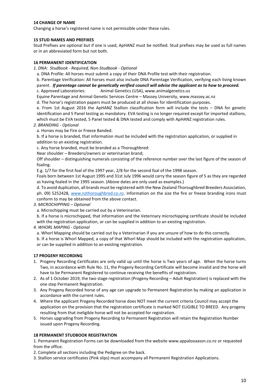#### **14 CHANGE OF NAME**

Changing a horse's registered name is not permissible under these rules.

#### **15 STUD NAMES AND PREFIXES**

Stud Prefixes are optional but if one is used, ApHANZ must be notified. Stud prefixes may be used as full names or in an abbreviated form but not both.

#### **16 PERMANENT IDENTIFICATION**

*1. DNA: Studbook - Required, Non-Studbook - Optional*

a. DNA Profile: All horses must submit a copy of their DNA Profile test with their registration.

b. Parentage Verification: All horses must also include DNA Parentage Verification, verifying each living known parent. *If parentage cannot be genetically verified council will advise the applicant as to how to proceed.*

c. Approved Laboratories: Animal Genetics (USA), [www.animalgenetics.us](http://www.animalgenetics.us/)

Equine Parentage and Animal Genetic Services Centre – Massey University, www.massey.ac.nz

d. The horse's registration papers must be produced at all shows for Identification purposes.

e. From 1st August 2016 the ApHANZ Stallion classification form will include the tests – DNA for genetic identification and 5 Panel testing as mandatory. EVA testing is no longer required except for imported stallions, which must be EVA tested, 5 Panel tested & DNA tested and comply with ApHANZ registration rules.

#### *2. BRANDING - Optional*

a. Horses may be Fire or Freeze Banded.

b. If a horse is branded, that information must be included with the registration application, or supplied in addition to an existing registration.

c. Any horse branded, must be branded as a Thoroughbred:

Near shoulder – Breeders/owners or veterinarian brand;

Off shoulder – distinguishing numerals consisting of the reference number over the last figure of the season of foaling.

E.g. 1/7 for the first foal of the 1997 year, 2/8 for the second foal of the 1998 season.

Foals born between 1st August 1995 and 31st July 1996 would carry the season figure of 5 as they are regarded as having foaled in the 1995 season. (Above dates are only used as examples.)

d. To avoid duplication, all brands must be registered with the New Zealand Thoroughbred Breeders Association, ph. 09) 5252428, [www.nzthoroughbred.co.nz.](http://www.nzthoroughbred.co.nz/) Information on the size the fire or freeze branding irons must conform to may be obtained from the above contact.

#### *3. MICROCHIPPING – Optional*

a. Microchipping must be carried out by a Veterinarian.

b. If a horse is microchipped, that information and the Veterinary microchipping certificate should be included with the registration application, or can be supplied in addition to an existing registration.

*4. WHORL MAPING - Optional*

a. Whorl Mapping should be carried out by a Veterinarian if you are unsure of how to do this correctly.

b. If a horse is Whorl Mapped, a copy of that Whorl Map should be included with the registration application, or can be supplied in addition to an existing registration.

#### **17 PROGENY RECORDING**

- 1. Progeny Recording Certificates are only valid up until the horse is Two years of age. When the horse turns Two, in accordance with Rule No. 11, the Progeny Recording Certificate will become invalid and the horse will have to be Permanent Registered to continue receiving the benefits of registration.
- 2. As of 1 October 2019, the two stage registration (Progeny Recording Adult Registration) is replaced with the one step Permanent Registration.
- 3. Any Progeny Recorded horse of any age can upgrade to Permanent Registration by making an application in accordance with the current rules.
- 4. Where the applicant Progeny Recorded horse does NOT meet the current criteria Council may accept the application on the provision that the registration certificate is marked NOT ELIGIBLE TO BREED. Any progeny resulting from that ineligible horse will not be accepted for registration.
- 5. Horses upgrading from Progeny Recording to Permanent Registration will retain the Registration Number issued upon Progeny Recording.

#### **18 PERMANENT STUDBOOK REGISTRATION**

1. Permanent Registration Forms can be downloaded from the websit[e www.appalooaassn.co.nz](http://www.appalooaassn.co.nz/) or requested from the office.

2. Complete all sections including the Pedigree on the back.

3. Stallion service certificates (Pink slips) must accompany all Permanent Registration Applications.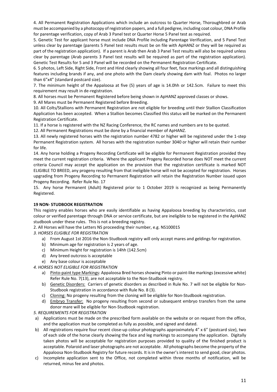4. All Permanent Registration Applications which include an outcross to Quarter Horse, Thoroughbred or Arab must be accompanied by a photocopy of registration papers, and a full pedigree, including coat colour, DNA Profile for parentage verification, copy of Arab 3 Panel test or Quarter Horse 5 Panel test as required.

5. Genetic Test for applicant horse must include DNA Profile including Parentage Verification, and 5 Panel Test unless clear by parentage (parents 5 Panel test results must be on file with ApHANZ or they will be required as part of the registration application). If a parent is Arab then Arab 3 Panel Test results will also be required unless clear by parentage (Arab parents 3 Panel test results will be required as part of the registration application). Genetic Test Results for 5 and 3 Panel will be recorded on the Permanent Registration Certificate.

6. 5 photos, Left Side, Right Side, Front and Hind clearly showing all four feet, face markings and all distinguishing features including brands if any, and one photo with the Dam clearly showing dam with foal. Photos no larger than 6"x4" (standard postcard size).

7. The minimum height of the Appaloosa at five (5) years of age is 14.0hh or 142.5cm. Failure to meet this requirement may result in de-registration.

8. All horses must be Permanent Registered before being shown in ApHANZ approved classes or shows.

9. All Mares must be Permanent Registered before Breeding.

10. All Colts/Stallions with Permanent Registration are not eligible for breeding until their Stallion Classification Application has been accepted. When a Stallion becomes Classified this status will be marked on the Permanent Registration Certificate.

11. If a horse is registered with the NZ Racing Conference, the RC names and numbers are to be quoted.

12. All Permanent Registrations must be done by a financial member of ApHANZ.

13. All newly registered horses with the registration number 4782 or higher will be registered under the 1-step Permanent Registration system. All horses with the registration number 3040 or higher will retain their number for life.

14. Any horse holding a Progeny Recording Certificate will be eligible for Permanent Registration provided they meet the current registration criteria. Where the applicant Progeny Recorded horse does NOT meet the current criteria Council may accept the application on the provision that the registration certificate is marked NOT ELIGIBLE TO BREED, any progeny resulting from that ineligible horse will not be accepted for registration. Horses upgrading from Progeny Recording to Permanent Registration will retain the Registration Number issued upon Progeny Recording. Refer Rule No. 17

15. Any horse Permanent (Adult) Registered prior to 1 October 2019 is recognized as being Permanently Registered.

#### **19 NON- STUDBOOK REGISTRATION**

This registry enables horses who are easily identifiable as having Appaloosa breeding by characteristics, coat colour or verified parentage through DNA or service certificate, but are ineligible to be registered in the ApHANZ studbook under these rules. This is not a breeding registry.

2. All Horses will have the Letters NS proceeding their number, e.g. NS100015

*3. HORSES ELIGIBLE FOR REGISTRATION*

- a) From August 1st 2016 the Non-Studbook registry will only accept mares and geldings for registration.
- b) Minimum age for registration is 2 years of age.
- c) Minimum Height for registration is 14hh (142.5cm)
- d) Any breed outcross is acceptable
- e) Any base colour is acceptable

*4. HORSES NOT ELIGIBLE FOR REGISTRATION*

- a) Pinto-paint type Markings: Appaloosa Bred horses showing Pinto or paint-like markings(excessive white) Refer Rule No. 7(13), are not acceptable to the Non-Studbook registry.
- b) Genetic Disorders: Carriers of genetic disorders as described in Rule No. 7 will not be eligible for Non-Studbook registration in accordance with Rule No. 8 (3).
- c) Cloning: No progeny resulting from the cloning will be eligible for Non-Studbook registration.
- d) Embryo Transfer: No progeny resulting from second or subsequent embryo transfers from the same donor mare will be eligible for Non-Studbook registration.

*5. REQUIREMENTS FOR REGISTRATION*

- a) Applications must be made on the prescribed form available on the website or on request from the office, and the application must be completed as fully as possible, and signed and dated.
- b) All registrations require four recent close-up colour photographs approximately 4" x 6" (postcard size), two of each side of the horse clearly showing the face and leg markings to accompany the application. Digitally taken photos will be acceptable for registration purposes provided to quality of the finished product is acceptable. Polaroid and laser photographs are not acceptable. All photographs become the property of the Appaloosa Non-Studbook Registry for future records. It is in the owner's interest to send good, clear photos.
- c) Incomplete application sent to the Office, not completed within three months of notification, will be returned, minus fee and photos.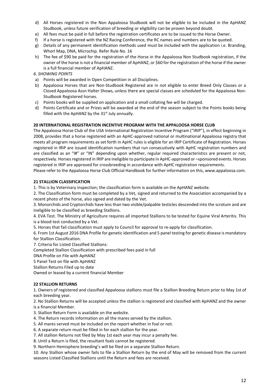- d) All Horses registered in the Non Appaloosa Studbook will not be eligible to be included in the ApHANZ Studbook, unless future verification of breeding or eligibility can be proven beyond doubt.
- e) All fees must be paid in full before the registration certificates are to be issued to the Horse Owner.
- f) If a horse is registered with the NZ Racing Conference, the RC names and numbers are to be quoted.
- g) Details of any permanent identification methods used must be included with the application i.e. Branding, Whorl Map, DNA, Microchip. Refer Rule No. 16
- h) The fee of \$90 be paid for the registration of the Horse in the Appaloosa Non Studbook registration, if the owner of the horse is not a financial member of ApHANZ, or \$60 for the registration of the horse if the owner is a full financial member of ApHANZ.

#### *6. SHOWING POINTS*

- a) Points will be awarded in Open Competition in all Disciplines.
- b) Appaloosa Horses that are Non-Studbook Registered are in not eligible to enter Breed Only Classes or a Closed Appaloosa Assn Halter Shows, unless there are special classes are scheduled for the Appaloosa Non-Studbook Registered horses.
- c) Points books will be supplied on application and a small collating fee will be charged.
- d) Points Certificate and or Prizes will be awarded at the end of the season subject to the Points books being filled with the ApHANZ by the  $31<sup>st</sup>$  July annually.

#### **20 INTERNATIONAL REGISTRATION INCENTIVE PROGRAM WITH THE APPALOOSA HORSE CLUB**

The Appaloosa Horse Club of the USA International Registration Incentive Program ("IRIP"), in effect beginning in 2008, provides that a horse registered with an ApHC-approved national or multinational Appaloosa registry that meets all program requirements as set forth in ApHC rules is eligible for an IRIP Certificate of Registration. Horses registered in IRIP are issued identification numbers that run consecutively with ApHC registration numbers and are classified as an "I#" or "IN" depending upon whether, regular required characteristics are present or not, respectively. Horses registered in IRIP are ineligible to participate in ApHC-approved or –sponsored events. Horses registered in IRIP are approved for crossbreeding in accordance with ApHC registration requirements.

Please refer to the Appaloosa Horse Club Official Handbook for further information on this, www.appaloosa.com.

#### **21 STALLION CLASSIFICATION**

1. This is by Veterinary inspection; the classification form is available on the ApHANZ website.

2. The Classification form must be completed by a Vet, signed and returned to the Association accompanied by a recent photo of the horse, also signed and dated by the Vet.

3. Monorchids and Cryptorchids have less than two visible/palpable testicles descended into the scrotum and are ineligible to be classified as breeding Stallions.

4. EVA Test. The Ministry of Agriculture requires all imported Stallions to be tested for Equine Viral Arteritis. This is a blood test conducted by a Vet.

5. Horses that fail classification must apply to Council for approval to re-apply for classification.

6. From 1st August 2016 DNA Profile for genetic identification and 5 panel testing for genetic disease is mandatory for Stallion Classification.

7. Criteria for Listed Classified Stallions:

Completed Stallion Classification with prescribed fees paid in full

DNA Profile on File with ApHANZ

5 Panel Test on file with ApHANZ

Stallion Returns Filed up to date

Owned or leased by a current financial Member

#### **22 STALLION RETURNS**

1. Owners of registered and classified Appaloosa stallions must file a Stallion Breeding Return prior to May 1st of each breeding year.

2. No Stallion Returns will be accepted unless the stallion is registered and classified with ApHANZ and the owner is a financial Member.

3. Stallion Return Form is available on the website.

- 4. The Return records information on all the mares served by the stallion.
- 5. All mares served must be included on the report whether in foal or not.
- 6. A separate return must be filled in for each stallion for the year.
- 7. All stallion Returns not filed by May 1st each year may incur a penalty fee.

8. Until a Return is filed, the resultant foals cannot be registered.

9. Northern Hemisphere breeding's will be filed on a separate Stallion Return.

10. Any Stallion whose owner fails to file a Stallion Return by the end of May will be removed from the current seasons Listed Classified Stallions until the Return and fees are received.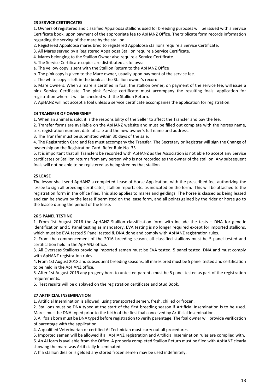#### **23 SERVICE CERTIFICATES**

1. Owners of registered and classified Appaloosa stallions used for breeding purposes will be issued with a Service Certificate book, upon payment of the appropriate fee to ApHANZ Office. The triplicate form records information regarding the serving of the mare by the stallion.

2. Registered Appaloosa mares bred to registered Appaloosa stallions require a Service Certificate.

3. All Mares served by a Registered Appaloosa Stallion require a Service Certificate.

4. Mares belonging to the Stallion Owner also require a Service Certificate.

5. The Service Certificate copies are distributed as follows:

a. The yellow copy is sent with the Stallion Return to the ApHANZ Office

b. The pink copy is given to the Mare owner, usually upon payment of the service fee.

c. The white copy is left in the book as the Stallion owner's record.

6. Mare Owners: When a mare is certified in foal, the stallion owner, on payment of the service fee, will issue a pink Service Certificate. The pink Service certificate must accompany the resulting foals' application for registration where it will be checked with the Stallion Return.

7. ApHANZ will not accept a foal unless a service certificate accompanies the application for registration.

#### **24 TRANSFER OF OWNERSHIP**

1. When an animal is sold, it is the responsibility of the Seller to affect the Transfer and pay the fee.

2. Transfer forms are available on the ApHANZ website and must be filled out complete with the horses name, sex, registration number, date of sale and the new owner's full name and address.

3. The Transfer must be submitted within 30 days of the sale.

4. The Registration Card and fee must accompany the Transfer. The Secretary or Registrar will sign the Change of ownership on the Registration Card. Refer Rule No. 33

5. It is important that all Transfers be recorded with ApHANZ as the Association is not able to accept any Service certificates or Stallion returns from any person who is not recorded as the owner of the stallion. Any subsequent foals will not be able to be registered as being sired by that stallion.

#### **25 LEASE**

The lessor shall send ApHANZ a completed Lease of Horse Application, with the prescribed fee, authorizing the lessee to sign all breeding certificates, stallion reports etc. as indicated on the form. This will be attached to the registration form in the office files. This also applies to mares and geldings. The horse is classed as being leased and can be shown by the lease if permitted on the lease form, and all points gained by the rider or horse go to the leasee during the period of the lease.

#### **26 5 PANEL TESTING**

1. From 1st August 2016 the ApHANZ Stallion classification form with include the tests – DNA for genetic identification and 5 Panel testing as mandatory. EVA testing is no longer required except for imported stallions, which must be EVA tested 5 Panel tested & DNA done and comply with ApHANZ registration rules.

2. From the commencement of the 2016 breeding season, all classified stallions must be 5 panel tested and certification held in the ApHANZ office.

3. All Overseas Stallions providing imported semen must be EVA tested, 5 panel tested, DNA and must comply with ApHANZ registration rules.

4. From 1st August 2018 and subsequent breeding seasons, all mares bred must be 5 panel tested and certification to be held in the ApHANZ office.

5. After 1st August 2019 any progeny born to untested parents must be 5 panel tested as part of the registration requirements.

6. Test results will be displayed on the registration certificate and Stud Book.

#### **27 ARTIFICIAL INSEMINATION**

1. Artificial Insemination is allowed, using transported semen, fresh, chilled or frozen.

2. Stallions must be DNA typed at the start of the first breeding season if Artificial Insemination is to be used. Mares must be DNA typed prior to the birth of the first foal conceived by Artificial Insemination.

3. All foals born must be DNA typed before registration to verify parentage. The foal owner will provide verification of parentage with the application.

4. A qualified Veterinarian or certified AI Technician must carry out all procedures.

5. Imported semen will be allowed if all ApHANZ registration and Artificial Insemination rules are complied with.

6. An AI form is available from the Office. A properly completed Stallion Return must be filed with ApHANZ clearly showing the mare was Artificially Inseminated.

7. If a stallion dies or is gelded any stored frozen semen may be used indefinitely.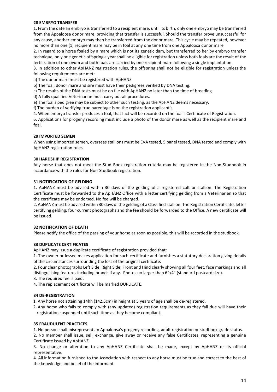#### **28 EMBRYO TRANSFER**

1. From the date an embryo is transferred to a recipient mare, until its birth, only one embryo may be transferred from the Appaloosa donor mare, providing that transfer is successful. Should the transfer prove unsuccessful for any cause, another embryo may then be transferred from the donor mare. This cycle may be repeated, however no more than one (1) recipient mare may be in foal at any one time from one Appaloosa donor mare

2. In regard to a horse foaled by a mare which is not its genetic dam, but transferred to her by embryo transfer technique, only one genetic offspring a year shall be eligible for registration unless both foals are the result of the fertilization of one ovum and both foals are carried by one recipient mare following a single implantation.

3. In addition to other ApHANZ registration rules, the offspring shall not be eligible for registration unless the following requirements are met:

a) The donor mare must be registered with ApHANZ

b) The foal, donor mare and sire must have their pedigrees verified by DNA testing.

c) The results of the DNA tests must be on file with ApHANZ no later than the time of breeding.

d) A fully qualified Veterinarian must carry out all procedures.

e) The foal's pedigree may be subject to other such testing, as the ApHANZ deems necessary.

f) The burden of verifying true parentage is on the registration applicant's.

4. When embryo transfer produces a foal, that fact will be recorded on the foal's Certificate of Registration.

5. Applications for progeny recording must include a photo of the donor mare as well as the recipient mare and foal.

#### **29 IMPORTED SEMEN**

When using imported semen, overseas stallions must be EVA tested, 5 panel tested, DNA tested and comply with ApHANZ registration rules.

#### **30 HARDSHIP REGISTRATION**

Any horse that does not meet the Stud Book registration criteria may be registered in the Non-Studbook in accordance with the rules for Non-Studbook registration.

#### **31 NOTIFICATION OF GELDING**

1. ApHANZ must be advised within 30 days of the gelding of a registered colt or stallion. The Registration Certificate must be forwarded to the ApHANZ Office with a letter certifying gelding from a Veterinarian so that the certificate may be endorsed. No fee will be charged.

2. ApHANZ must be advised within 30 days of the gelding of a Classified stallion. The Registration Certificate, letter certifying gelding, four current photographs and the fee should be forwarded to the Office. A new certificate will be issued.

#### **32 NOTIFICATION OF DEATH**

Please notify the office of the passing of your horse as soon as possible, this will be recorded in the studbook.

#### **33 DUPLICATE CERTIFICATES**

ApHANZ may issue a duplicate certificate of registration provided that:

1. The owner or lessee makes application for such certificate and furnishes a statutory declaration giving details of the circumstances surrounding the loss of the original certificate.

2. Four clear photographs Left Side, Right Side, Front and Hind clearly showing all four feet, face markings and all distinguishing features including brands if any. Photos no larger than 6"x4" (standard postcard size).

3. The required fee is paid.

4. The replacement certificate will be marked DUPLICATE.

#### **34 DE-REGISTRATION**

1. Any horse not attaining 14hh (142.5cm) in height at 5 years of age shall be de-registered.

2. Any horse who fails to comply with (any updated) registration requirements as they fall due will have their registration suspended until such time as they become compliant.

#### **35 FRAUDULENT PRACTICES**

1. No person shall misrepresent an Appaloosa's progeny recording, adult registration or studbook grade status.

2. No member shall issue, sell, exchange, give away or receive any false Certificates, representing a genuine Certificate issued by ApHANZ.

3. No change or alteration to any ApHANZ Certificate shall be made, except by ApHANZ or its official representative.

4. All information furnished to the Association with respect to any horse must be true and correct to the best of the knowledge and belief of the informant.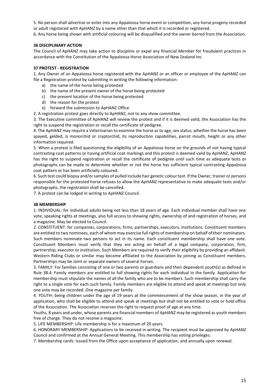5. No person shall advertise or enter into any Appaloosa horse event or competition, any horse progeny recorded or adult registered with ApHANZ by a name other than that which it is recorded or registered.

6. Any horse being shown with artificial colouring will be disqualified and the owner barred from the Association.

#### **36 DISCIPLINARY ACTION**

The Council of ApHANZ may take action to discipline or expel any financial Member for fraudulent practices in accordance with the Constitution of the Appaloosa Horse Association of New Zealand Inc.

#### **37 PROTEST - REGISTRATION**

1. Any Owner of an Appaloosa horse registered with the ApHANZ or an officer or employee of the ApHANZ can file a Registration protest by submitting in writing the following information:

- a) the name of the horse being protested
- b) the name of the present owner of the horse being protested
- c) the present location of the horse being protested
- d) the reason for the protest
- e) forward the submission to ApHANZ Office.

2. A registration protest goes directly to ApHANZ, not to any show committee.

3. The Executive committee of ApHANZ will review the protest and if it is deemed valid, the Association has the right to suspend the registration or recall the certificate of pedigree.

4. The ApHANZ may require a Veterinarian to examine the horse as to age, sex status, whether the horse has been spayed, gelded, is monorchid or cryptorchid, its reproduction capabilities, parrot mouth, height or any other information required.

5. When a protest is filed questioning the eligibility of an Appaloosa horse on the grounds of not having typical contrasting coat patterns or having artificial coat markings and this protest is deemed valid by ApHANZ, ApHANZ has the right to suspend registration or recall the certificate of pedigree until such time as adequate tests or photographs can be made to determine whether or not the horse has sufficient typical contrasting Appaloosa coat pattern or has been artificially coloured.

6. Such test could biopsy and/or samples of pulled include hair genetic colour test. If the Owner, trainer or persons responsible for the protested horse refuses to allow the ApHANZ representative to make adequate tests and/or photographs, the registration shall be cancelled.

7. A protest can be lodged in writing to ApHANZ Council.

#### **38 MEMBERSHIP**

1. INDIVIDUAL: for individual adults being not less than 18 years of age. Each individual member shall have one vote, speaking rights at meetings, also full access to showing rights, ownership of and registration of horses, and a magazine. May be elected to Council.

2. CONSTITUENT: for companies, corporations, firms, partnerships, executors, institutions. Constituent members are entitled to two nominees, each of whom may exercise full rights of membership on behalf of their nominators. Such members nominate two persons to act in its name. Each constituent membership shall have one vote. Constituent Members must verify that they are acting on behalf of a legal company, corporation, firm, partnership, executor or institution. Such Members are required to verify their eligibility by providing an affidavit. Western Riding Clubs or similar may become affiliated to the Association by joining as Constituent members. Partnerships may be Joint or separate owners of several horses.

3. FAMILY: For families consisting of one or two parents or guardians and their dependent youth(s) as defined in Rule 38.4. Family members are entitled to full showing rights for each individual in the family. Application for membership must stipulate the names of all the family who are to be members. Such membership shall carry the right to a single vote for each such family. Family members are eligible to attend and speak at meetings but only one vote may be recorded. One magazine per family.

4. YOUTH: being children under the age of 19 years at the commencement of the show season, in the year of application, who shall be eligible to attend and speak at meetings but shall not be entitled to vote or hold office of the Association. The Association reserves the right to request proof of age at any time.

Youths, 8 years and under, whose parents are financial members of ApHANZ may be registered as youth members free of charge. They do not receive a magazine.

5. LIFE MEMBERSHIP: Life membership is for a maximum of 20 years.

6. HONORARY MEMBERSHIP: Applications to be received in writing. The recipient must be approved by ApHANZ Council and confirmed at the Annual General Meeting. This membership has voting privileges.

7. Membership cards: Issued from the Office upon acceptance of application, and annually upon renewal.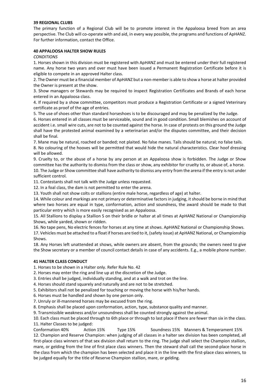#### **39 REGIONAL CLUBS**

The primary function of a Regional Club will be to promote interest in the Appaloosa breed from an area perspective. The Club will co-operate with and aid, in every way possible, the programs and functions of ApHANZ. For further information, contact the Office.

#### **40 APPALOOSA HALTER SHOW RULES**

*CONDITIONS*

1. Horses shown in this division must be registered with ApHANZ and must be entered under their full registered name. Any horse two years and over must have been issued a Permanent Registration Certificate before it is eligible to compete in an approved Halter class.

2. The Owner must be a financial member of ApHANZ but a non-member is able to show a horse at halter provided the Owner is present at the show.

3. Show managers or Stewards may be required to inspect Registration Certificates and Brands of each horse entered in an Appaloosa class.

4. If required by a show committee, competitors must produce a Registration Certificate or a signed Veterinary certificate as proof of the age of entries.

5. The use of shoes other than standard horseshoes is to be discouraged and may be penalized by the Judge.

6. Horses entered in all classes must be serviceable, sound and in good condition. Small blemishes on account of accident i.e. small wire cuts, are not to be counted against the horse. In case of protests on this ground the Judge shall have the protested animal examined by a veterinarian and/or the disputes committee, and their decision shall be final.

7. Mane may be natural, roached or banded; not plaited. No false manes. Tails should be natural; no false tails. 8. No colouring of the hooves will be permitted that would hide the natural characteristics. Clear hoof dressing will be allowed.

9. Cruelty to, or the abuse of a horse by any person at an Appaloosa show is forbidden. The Judge or Show committee has the authority to dismiss from the class or show, any exhibitor for cruelty to, or abuse of, a horse. 10. The Judge or Show committee shall have authority to dismiss any entry from the arena if the entry is not under sufficient control.

11. Contestants shall not talk with the Judge unless requested.

12. In a foal class, the dam is not permitted to enter the arena.

13. Youth shall not show colts or stallions (entire male horse, regardless of age) at halter.

14. While colour and markings are not primary or determinative factors in judging, it should be borne in mind that where two horses are equal in type, conformation, action and soundness, the award should be made to that particular entry which is more easily recognised as an Appaloosa.

15. All Stallions to display a Stallion S on their bridle or halter at all times at ApHANZ National or Championship Shows, while yarded, shown or ridden.

16. No tape pens, No electric fences for horses at any time at shows. ApHANZ National or Championship Shows.

17. Vehicles must be attached to a float if horses are tied to it, (safety issue) at ApHANZ National, or Championship Shows.

18. Any Horses left unattended at shows, while owners are absent, from the grounds; the owners need to give the Show secretary or a member of council contact details in case of any accidents. E.g., a mobile phone number.

### **41 HALTER CLASS CONDUCT**

1. Horses to be shown in a Halter only. Refer Rule No. 42

2. Horses may enter the ring and line up at the discretion of the Judge.

3. Entries shall be judged, individually standing, and at a walk and trot on the line.

4. Horses should stand squarely and naturally and are not to be stretched.

5. Exhibitors shall not be penalized for touching or moving the horse with his/her hands.

6. Horses must be handled and shown by one person only.

7. Unruly or ill-mannered horses may be excused from the ring.

8. Emphasis shall be placed upon conformation, action, type, substance quality and manner.

9. Transmissible weakness and/or unsoundness shall be counted strongly against the animal.

10. Each class must be placed through to 6th place or through to last place if there are fewer than six in the class.

11. Halter Classes to be judged:

Conformation 40% Action 15% Type 15% Soundness 15% Manners & Temperament 15% 12. Champion and Reserve Champion: when judging of all classes in a halter sex division has been completed, all first-place class winners of that sex division shall return to the ring. The judge shall select the Champion stallion, mare, or gelding from the line of first place class winners. Then the steward shall call the second-place horse in the class from which the champion has been selected and place it in the line with the first-place class winners, to be judged equally for the title of Reserve Champion stallion, mare, or gelding.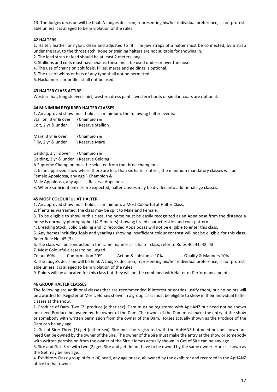13. The Judges decision will be final. A Judges decision, representing his/her individual preference, is not protestable unless it is alleged to be in violation of the rules.

#### **42 HALTERS**

1. Halter, leather or nylon, clean and adjusted to fit. The jaw straps of a halter must be connected, by a strap under the jaw, to the throatlatch. Rope or training halters are not suitable for showing in.

- 2. The lead strap or lead should be at least 2 meters long.
- 3. Stallions and colts must have chains; these must be used under or over the nose.
- 4. The use of chains on colt foals, fillies, mares and geldings is optional.
- 5. The use of whips or bats of any type shall not be permitted.
- 6. Hackamores or bridles shall not be used.

#### **43 HALTER CLASS ATTIRE**

Western hat, long sleeved shirt, western dress pants, western boots or similar, coats are optional.

#### **44 MINIMUM REQUIRED HALTER CLASSES**

1. An approved show must hold as a minimum, the following halter events:

| Stallion, 3 yr & over | } Champion &       |
|-----------------------|--------------------|
| Colt, 2 yr & under    | } Reserve Stallion |

Mare, 3 yr & over } Champion & Filly, 2 yr & under } Reserve Mare

Gelding, 3 yr &over } Champion &

Gelding, 2 yr & under } Reserve Gelding

A Supreme Champion must be selected from the three champions.

2. In an approved show where there are less than six halter entries, the minimum mandatory classes will be: Female Appaloosa, any age } Champion &

Male Appaloosa, any age } Reserve Appaloosa

3. Where sufficient entries are expected, halter classes may be divided into additional age classes.

#### **45 MOST COLOURFUL AT HALTER**

1. An approved show must hold as a minimum, a Most Colourful at Halter Class.

2. If entries warranted, the class may be split to Male and Female.

3. To be eligible to show in this class, the horse must be easily recognized as an Appaloosa from the distance a horse is normally photographed (4-5 meters) showing breed characteristics and coat pattern.

4. Breeding Stock, Solid Gelding and ID recorded Appaloosas will not be eligible to enter this class.

5. Any horses including foals and yearlings showing insufficient colour contrast will not be eligible for this class. Refer Rule No. 45 (3).

6. The class will be conducted in the same manner as a halter class, refer to Rules 40, 41, 42, 43

7. Most Colourful classes to be judged:

Colour 60% Conformation 20% Action & substance 10% Quality & Manners 10% 8. The Judge's decision will be final. A Judge's decision, representing his/her individual preference, is not protestable unless it is alleged to be in violation of the rules.

9. Points will be allocated for this class but they will not be combined with Halter or Performance points.

#### **46 GROUP HALTER CLASSES**

The following are additional classes that are recommended if interest or entries justify them, but no points will be awarded for Register of Merit. Horses shown in a group class must be eligible to show in their individual halter classes at the show.

1. Produce of Dam. Two (2) produce (either sex). Dam must be registered with ApHANZ but need not be shown nor need Produce be owned by the owner of the Dam. The owner of the Dam must make the entry at the show or somebody with written permission from the owner of the Dam. Horses actually shown as the Produce of the Dam can be any age.

2. Get of Sire: Three (3) get (either sex). Sire must be registered with the ApHANZ but need not be shown nor need Get be owned by the owner of the Sire. The owner of the Sire must make the entry at the show or somebody with written permission from the owner of the Sire. Horses actually shown in Get of Sire can be any age.

3. Sire and Get: Sire with two (2) get. Sire and get do not have to be owned by the same owner. Horses shown as the Get may be any age.

4. Exhibitors Class: group of four (4) head, any age or sex, all owned by the exhibitor and recorded in the ApHANZ office to that owner.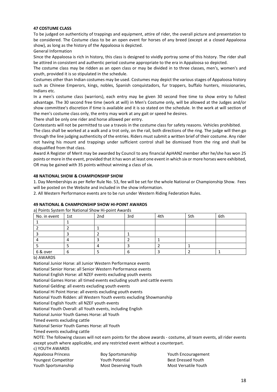#### **47 COSTUME CLASS**

To be judged on authenticity of trappings and equipment, attire of rider, the overall picture and presentation to be considered. The Costume class to be an open event for horses of any breed (except at a closed Appaloosa show), as long as the history of the Appaloosa is depicted.

General Information

Since the Appaloosa is rich in history, this class is designed to vividly portray some of this history. The rider shall be attired in consistent and authentic period costume appropriate to the era in Appaloosa so depicted.

The costume class may be ridden as an open class or may be divided in to three classes, men's, women's and youth, provided it is so stipulated in the schedule.

Costumes other than Indian costumes may be used. Costumes may depict the various stages of Appaloosa history such as Chinese Emperors, kings, nobles, Spanish conquistadors, fur trappers, buffalo hunters, missionaries, Indians etc.

In a men's costume class (warriors), each entry may be given 30 second free time to show entry to fullest advantage. The 30 second free time (work at will) in Men's Costume only, will be allowed at the Judges and/or show committee's discretion if time is available and it is so stated on the schedule. In the work at will section of the men's costume class only, the entry may work at any gait or speed he desires.

There shall be only one rider and horse allowed per entry.

Contestants will not be permitted to use a travois in the costume class for safety reasons. Vehicles prohibited.

The class shall be worked at a walk and a trot only, on the rail, both directions of the ring. The judge will then go through the line judging authenticity of the entries. Riders must submit a written brief of their costume. Any rider not having his mount and trappings under sufficient control shall be dismissed from the ring and shall be disqualified from that class.

Award A Register of Merit may be awarded by Council to any financial ApHANZ member after he/she has won 25 points or more in the event, provided that it has won at least one event in which six or more horses were exhibited, OR may be gained with 35 points without winning a class of six.

#### **48 NATIONAL SHOW & CHAMPIONSHIP SHOW**

1. Day Memberships as per Refer Rule No. 53, fee will be set for the whole National or Championship Show. Fees will be posted on the Website and included in the show information.

2. All Western Performance events are to be run under Western Riding Federation Rules.

#### **49 NATIONAL & CHAMPIONSHIP SHOW HI-POINT AWARDS**

a) Points System for National Show Hi-point Awards

| No. in event | $\vert$ 1st | 2nd | 3rd | 4th | 5th | 6th |
|--------------|-------------|-----|-----|-----|-----|-----|
|              |             |     |     |     |     |     |
|              |             |     |     |     |     |     |
|              |             |     |     |     |     |     |
|              |             |     |     |     |     |     |
|              |             |     |     |     |     |     |
| 6 & over     | b           |     |     |     |     |     |

b) AWARDS

National Junior Horse: all Junior Western Performance events National Senior Horse: all Senior Western Performance events National English Horse: all NZEF events excluding youth events National Games Horse: all timed events excluding youth and cattle events National Gelding: all events excluding youth events National Hi Point Horse: all events excluding youth events National Youth Ridden: all Western Youth events excluding Showmanship National English Youth: all NZEF youth events National Youth Overall: all Youth events, including English National Junior Youth Games Horse: all Youth Timed events excluding cattle National Senior Youth Games Horse: all Youth Timed events excluding cattle NOTE: The following classes will not earn points for the above awards - costume, all team events, all rider events except youth where applicable, and any restricted event without a counterpart. c) YOUTH AWARDS

| Appaloosa Princess         | <b>Boy Sportsmanship</b> | Youth Encouragement  |
|----------------------------|--------------------------|----------------------|
| <b>Youngest Competitor</b> | Youth Potential          | Best Dressed Youth   |
| Youth Sportsmanship        | Most Deserving Youth     | Most Versatile Youth |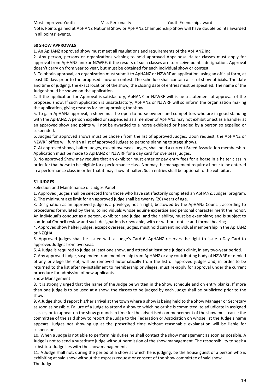#### Most Improved Youth Miss Personality Youth Friendship award

Note: Points gained at ApHANZ National Show or ApHANZ Championship Show will have double points awarded in all points' events.

#### **50 SHOW APPROVALS**

1. An ApHANZ approved show must meet all regulations and requirements of the ApHANZ Inc.

2. Any person, persons or organizations wishing to hold approved Appaloosa Halter classes must apply for approval from ApHANZ and/or NZWRF, if the results of such classes are to receive point's designation. Approval doesn't carry on from year to year, but must be obtained for each individual show or contest.

3. To obtain approval, an organization must submit to ApHANZ or NZWRF an application, using an official form, at least 40 days prior to the proposed show or contest. The schedule shall contain a list of show officials. The date and time of judging, the exact location of the show, the closing date of entries must be specified. The name of the Judge should be shown on the application.

4. If the application for Approval is satisfactory, ApHANZ or NZWRF will issue a statement of approval of the proposed show. If such application is unsatisfactory, ApHANZ or NZWRF will so inform the organization making the application, giving reasons for not approving the show.

5. To gain ApHANZ approval, a show must be open to horse owners and competitors who are in good standing with the ApHANZ. A person expelled or suspended as a member of ApHANZ may not exhibit or act as a handler at an approved show and points will not be awarded to a horse exhibited or handled by a person so expelled or suspended.

6. Judges for approved shows must be chosen from the list of approved Judges. Upon request, the ApHANZ or NZWRF office will furnish a list of approved Judges to persons planning to stage shows.

7. At approved shows, halter judges, except overseas judges, shall hold a current Breed Association membership. Application must be made to ApHANZ or NZWRF for a day card for overseas judges.

8. No approved Show may require that an exhibitor must enter or pay entry fees for a horse in a halter class in order for that horse to be eligible for a performance class. Nor may the management require a horse to be entered in a performance class in order that it may show at halter. Such entries shall be optional to the exhibitor.

#### **51 JUDGES**

Selection and Maintenance of Judges Panel

1. Approved judges shall be selected from those who have satisfactorily completed an ApHANZ. Judges' program. 2. The minimum age limit for an approved judge shall be twenty (20) years of age.

3. Designation as an approved judge is a privilege, not a right, bestowed by the ApHANZ Council, according to procedures formulated by them, to individuals whose equine expertise and personal character merit the honor. An individual's conduct as a person, exhibitor and judge, and their ability, must be exemplary; and is subject to continual Council review and such designation is revocable, with or without notice and formal hearing.

4. Approved show halter judges, except overseas judges, must hold current individual membership in the ApHANZ or NZQHA.

5. Approved judges shall be issued with a Judge's Card 6. ApHANZ reserves the right to issue a Day Card to approved Judges from overseas.

6. A Judge is required to judge at least one show, and attend at least one judge's clinic, in any two-year period.

7. Any approved Judge, suspended from membership from ApHANZ or any contributing body of NZWRF or denied of any privilege thereof, will be removed automatically from the list of approved judges and, in order to be returned to the list after re-installment to membership privileges, must re-apply for approval under the current procedure for admission of new applicants.

Show Management

8. It is strongly urged that the name of the Judge be written in the Show schedule and on entry blanks. If more than one judge is to be used at a show, the classes to be judged by each Judge shall be publicized prior to the show.

9. A Judge should report his/her arrival at the town where a show is being held to the Show Manager or Secretary as soon as possible. Failure of a Judge to attend a show to which he or she is committed, to adjudicate in assigned classes, or to appear on the show grounds in time for the advertised commencement of the show must cause the committee of the said show to report the Judge to the Federation or Association on whose list the Judge's name appears. Judges not showing up at the prescribed time without reasonable explanation will be liable for suspension.

10. When a Judge is not able to perform his duties he shall contact the show management as soon as possible. A Judge is not to send a substitute judge without permission of the show management. The responsibility to seek a substitute Judge lies with the show management.

11. A Judge shall not, during the period of a show at which he is judging, be the house guest of a person who is exhibiting at said show without the express request or consent of the show committee of said show. The Judge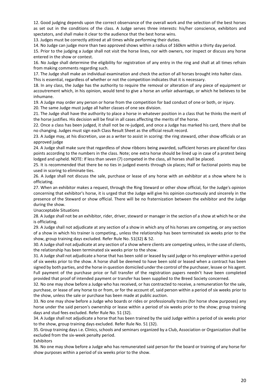12. Good judging depends upon the correct observance of the overall work and the selection of the best horses as set out in the conditions of the class. A Judge serves three interests: his/her conscience, exhibitors and spectators, and shall make it clear to the audience that the best horse wins.

13. Judges must be correctly attired at all times while performing their duties.

14. No Judge can judge more than two approved shows within a radius of 160km within a thirty day period.

15. Prior to the judging a Judge shall not visit the horse lines, nor with owners, nor inspect or discuss any horse entered in the show or contest.

16. No Judge shall determine the eligibility for registration of any entry in the ring and shall at all times refrain from making comments regarding such.

17. The Judge shall make an individual examination and check the action of all horses brought into halter class. This is essential, regardless of whether or not the competition indicates that it is necessary.

18. In any class, the Judge has the authority to require the removal or alteration of any piece of equipment or accoutrement which, in his opinion, would tend to give a horse an unfair advantage, or which he believes to be inhumane.

19. A Judge may order any person or horse from the competition for bad conduct of one or both, or injury.

20. The same Judge must judge all halter classes of one sex division.

21. The Judge shall have the authority to place a horse in whatever position in a class that he thinks the merit of the horse justifies. His decision will be final in all cases affecting the merits of the horse.

22. Once a class has been judged, it shall not be re-judged, and once a Judge has marked his card, there shall be no changing. Judges must sign each Class Result Sheet as the official result record.

23. A Judge may, at his discretion, use as a writer to assist in scoring: the ring steward, other show officials or an approved judge

24. A Judge shall make sure that regardless of show ribbons being awarded, sufficient horses are placed for class points according to the numbers in the class. Note; one extra horse should be lined up in case of a protest being lodged and upheld. NOTE: If less than seven (7) competed in the class, all horses shall be placed.

25. It is recommended that there be no ties in judged events through six places; Half or factional points may be used in scoring to eliminate ties.

26. A Judge shall not discuss the sale, purchase or lease of any horse with an exhibitor at a show where he is officiating.

27. When an exhibitor makes a request, through the Ring Steward or other show official, for the Judge's opinion concerning that exhibitor's horse, it is urged that the Judge will give his opinion courteously and sincerely in the presence of the Steward or show official. There will be no fraternization between the exhibitor and the Judge during the show.

Unacceptable Situations

28. A Judge shall not be an exhibitor, rider, driver, steward or manager in the section of a show at which he or she is officiating.

29. A Judge shall not adjudicate at any section of a show in which any of his horses are competing, or any section of a show in which his trainer is competing., unless the relationship has been terminated six weeks prior to the show, group training days excluded. Refer Rule No. 51(32) & 52.

30. A Judge shall not adjudicate at any section of a show where clients are competing unless, in the case of clients, the relationship has been terminated six weeks prior to the show.

31. A Judge shall not adjudicate a horse that has been sold or leased by said judge or his employer within a period of six weeks prior to the show. A horse shall be deemed to have been sold or leased when a contract has been signed by both parties, and the horse in question domiciled under the control of the purchaser, lessee or his agent. Full payment of the purchase price or full transfer of the registration papers needn't have been completed provided that proof of intended payment or transfer has been supplied to the Breed Society concerned.

32. No one may show before a Judge who has received, or has contracted to receive, a remuneration for the sale, purchase, or lease of any horse to or from, or for the account of, said person within a period of six weeks prior to the show, unless the sale or purchase has been made at public auction.

33. No one may show before a Judge who boards or rides or professionally trains (for horse show purposes) any horse under the said person's ownership or lease within a period of six weeks prior to the show; group training days and stud fees excluded. Refer Rule No. 51 (32).

34. A Judge shall not adjudicate a horse that has been trained by the said Judge within a period of six weeks prior to the show, group training days excluded. Refer Rule No. 51 (32).

35. Group training days i.e. Clinics, schools and seminars organized by a Club, Association or Organization shall be excluded from the six-week penalty period.

Exhibitors

36. No one may show before a Judge who has remunerated said person for the board or training of any horse for show purposes within a period of six weeks prior to the show.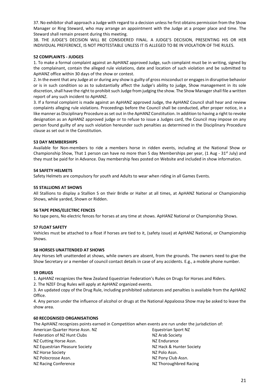37. No exhibitor shall approach a Judge with regard to a decision unless he first obtains permission from the Show Manager or Ring Steward, who may arrange an appointment with the Judge at a proper place and time. The Steward shall remain present during this meeting.

38. THE JUDGE'S DECISION WILL BE CONSIDERED FINAL. A JUDGE'S DECISION, PRESENTING HIS OR HER INDIVIDUAL PREFERENCE, IS NOT PROTESTABLE UNLESS IT IS ALLEGED TO BE IN VIOLATION OF THE RULES.

#### **52 COMPLAINTS - JUDGES**

1. To make a formal complaint against an ApHANZ approved Judge, such complaint must be in writing, signed by the complainant, contain the alleged rule violations, date and location of such violation and be submitted to ApHANZ office within 30 days of the show or contest.

2. In the event that any Judge at or during any show is guilty of gross misconduct or engages in disruptive behavior or is in such condition so as to substantially affect the Judge's ability to judge, Show management in its sole discretion, shall have the right to prohibit such Judge from judging the show. The Show Manager shall file a written report of any such incident to ApHANZ.

3. If a formal complaint is made against an ApHANZ approved Judge, the ApHANZ Council shall hear and review complaints alleging rule violations. Proceedings before the Council shall be conducted, after proper notice, in a like manner as Disciplinary Procedure as set out in the ApHANZ Constitution. In addition to having a right to revoke designation as an ApHANZ approved judge or to refuse to issue a Judges card, the Council may impose on any person found guilty of any such violation hereunder such penalties as determined in the Disciplinary Procedure clause as set out in the Constitution.

#### **53 DAY MEMBERSHIPS**

Available for Non-members to ride a members horse in ridden events, including at the National Show or Championship Show, That 1 person can have no more than 5 day Memberships per year,  $(1 \text{ Aug} - 31^{st}$  July) and they must be paid for in Advance. Day membership fees posted on Website and included in show information.

#### **54 SAFETY HELMETS**

Safety Helmets are compulsory for youth and Adults to wear when riding in all Games Events.

#### **55 STALLIONS AT SHOWS**

All Stallions to display a Stallion S on their Bridle or Halter at all times, at ApHANZ National or Championship Shows, while yarded, Shown or Ridden.

#### **56 TAPE PENS/ELECTRIC FENCES**

No tape pens, No electric fences for horses at any time at shows. ApHANZ National or Championship Shows.

#### **57 FLOAT SAFETY**

Vehicles must be attached to a float if horses are tied to it, (safety issue) at ApHANZ National, or Championship Shows.

#### **58 HORSES UNATTENDED AT SHOWS**

Any Horses left unattended at shows, while owners are absent, from the grounds. The owners need to give the Show Secretary or a member of council contact details in case of any accidents. E.g., a mobile phone number.

#### **59 DRUGS**

1. ApHANZ recognizes the New Zealand Equestrian Federation's Rules on Drugs for Horses and Riders.

2. The NZEF Drug Rules will apply at ApHANZ organized events.

3. An updated copy of the Drug Rule, including prohibited substances and penalties is available from the ApHANZ Office.

4. Any person under the influence of alcohol or drugs at the National Appaloosa Show may be asked to leave the show area.

#### **60 RECOGNISED ORGANISATIONS**

The ApHANZ recognizes points earned in Competition when events are run under the jurisdiction of:

| Equestrian Sport NZ      |
|--------------------------|
| NZ Arab Society          |
| NZ Endurance             |
| NZ Hack & Hunter Society |
| NZ Polo Assn.            |
| NZ Pony Club Assn.       |
| NZ Thoroughbred Racing   |
|                          |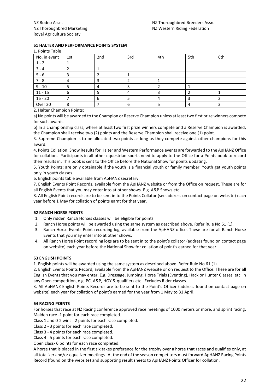#### **61 HALTER AND PERFORMANCE POINTS SYSTEM**

1. Points Table

| No. in event | 1st | 2nd | 3rd | 4th | 5th | 6th |
|--------------|-----|-----|-----|-----|-----|-----|
| $1 - 2$      |     |     |     |     |     |     |
| $3 - 4$      |     |     |     |     |     |     |
| $5 - 6$      |     |     |     |     |     |     |
| $7 - 8$      | 4   |     |     |     |     |     |
| $9 - 10$     |     |     |     |     |     |     |
| $11 - 15$    | 6   |     | 4   |     |     |     |
| $16 - 20$    |     | h   |     |     |     |     |
| Over 20      | 8   |     | 6   |     |     |     |

2. Halter Champion Points:

a) No points will be awarded to the Champion or Reserve Champion unless at least two first prize winners compete for such awards.

b) In a championship class, where at least two first prize winners compete and a Reserve Champion is awarded, the Champion shall receive two (2) points and the Reserve Champion shall receive one (1) point.

3. Supreme Champion is to be allocated two points as long as they compete against other champions for this award.

4. Points Collation: Show Results for Halter and Western Performance events are forwarded to the ApHANZ Office for collation. Participants in all other equestrian sports need to apply to the Office for a Points book to record their results in. This book is sent to the Office before the National Show for points updating.

5. Youth Points: are only obtainable if the youth is a financial youth or family member. Youth get youth points only in youth classes.

6. English points table available from ApHANZ secretary.

7. English Events Point Records, available from the ApHANZ website or from the Office on request. These are for all English Events that you may enter into at other shows. E.g. A&P Shows etc.

8. All English Point records are to be sent in to the Points Collator (see address on contact page on website) each year before 1 May for collation of points earnt for that year.

#### **62 RANCH HORSE POINTS**

- 1. Only ridden Ranch Horses classes will be eligible for points.
- 2. Ranch Horse points will be awarded using the same system as described above. Refer Rule No 61 (1).
- 3. Ranch Horse Events Point recording log, available from the ApHANZ office. These are for all Ranch Horse Events that you may enter into at other shows.
- 4. All Ranch Horse Point recording logs are to be sent in to the point's collator (address found on contact page on website) each year before the National Show for collation of point's earned for that year.

#### **63 ENGLISH POINTS**

1. English points will be awarded using the same system as described above. Refer Rule No 61 (1).

2. English Events Points Record, available from the ApHANZ website or on request to the Office. These are for all English Events that you may enter. E.g. Dressage, Jumping, Horse Trials (Eventing), Hack or Hunter Classes etc. in any Open competition, e.g. PC, A&P, HOY & qualifiers etc. Excludes Rider classes.

3. All ApHANZ English Points Records are to be sent to the Point's Officer (address found on contact page on website) each year for collation of point's earned for the year from 1 May to 31 April.

#### **64 RACING POINTS**

For horses that race at NZ Racing conference approved race meetings of 1000 meters or more, and sprint racing: Maiden race -1 point for each race completed.

Class 1 and 0-2 wins - 2 points for each race completed.

Class 2 - 3 points for each race completed.

Class 3 - 4 points for each race completed.

Class 4 - 5 points for each race completed.

Open class- 6 points for each race completed.

A horse that is placed in the first six takes preference for the trophy over a horse that races and qualifies only, at all totalizer and/or equalizer meetings. At the end of the season competitors must forward ApHANZ Racing Points Record (found on the website) and supporting result sheets to ApHANZ Points Officer for collation.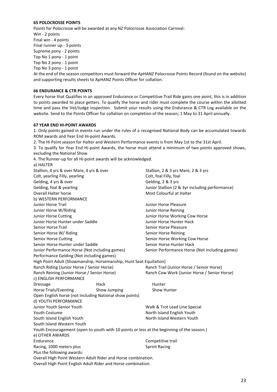#### **65 POLOCROSSE POINTS**

Points for Polocrosse will be awarded at any NZ Polocrosse Association Carnival: Win - 2 points Final win - 4 points Final runner up - 3 points Supreme pony - 2 points Top No 1 pony - 1 point Top No 2 pony - 1 point Top No 3 pony - 1 point At the end of the season competitors must forward the ApHANZ Polocrosse Points Record (found on the website) and supporting results sheets to ApHANZ Points Officer for collation.

#### **66 ENDURANCE & CTR POINTS**

Every horse that Qualifies in an approved Endurance or Competitive Trail Ride gains one point, this is in addition to points awarded to place getters. To qualify the horse and rider must complete the course within the allotted time and pass the Vet/Judge inspection. Submit your results using the Endurance & CTR Log available on the website. Send to the Points Officer for collation on completion of the season; 1 May to 31 April annually.

#### **67 YEAR END HI-POINT AWARDS**

 $\lambda$ HALTER

1. Only points gained in events run under the rules of a recognised National Body can be accumulated towards ROM awards and Year End Hi-point Awards.

2. The Hi Point season for Halter and Western Performance events is from May 1st to the 31st April.

3. To qualify for Year End Hi-point Awards, the horse must attend a minimum of two points approved shows, excluding the National Show.

4. The Runner-up for all Hi-point awards will be acknowledged.

| d) NALIEN                                                          |              |                                                                                            |  |  |
|--------------------------------------------------------------------|--------------|--------------------------------------------------------------------------------------------|--|--|
| Stallion, 4 yrs & over Mare, 4 yrs & over                          |              | Stallion, 2 & 3 yrs Mare, 2 & 3 yrs                                                        |  |  |
| Colt, yearling Filly, yearling                                     |              | Colt, foal Filly, foal                                                                     |  |  |
| Gelding, 4 yrs & over                                              |              | Gelding, 2 & 3 yrs                                                                         |  |  |
| Gelding, foal & yearling                                           |              | Junior Stallion (2 & 3yr including performance)                                            |  |  |
| <b>Overall Halter horse</b>                                        |              | Most Colourful at Halter                                                                   |  |  |
| b) WESTERN PERFORMANCE                                             |              |                                                                                            |  |  |
| Junior Horse Trail                                                 |              | Junior Horse Pleasure                                                                      |  |  |
| Junior Horse W/Riding                                              |              | Junior Horse Reining                                                                       |  |  |
| Junior Horse Cutting                                               |              | Junior Horse Working Cow Horse                                                             |  |  |
| Junior Horse Hunter under Saddle                                   |              | Junior Horse Hunter Hack                                                                   |  |  |
| <b>Senior Horse Trail</b>                                          |              | Senior Horse Pleasure                                                                      |  |  |
| Senior Horse W/ Riding                                             |              | Senior Horse Reining                                                                       |  |  |
| <b>Senior Horse Cutting</b>                                        |              | Senior Horse Working Cow Horse                                                             |  |  |
| Senior Horse Hunter under Saddle                                   |              | Senior Horse Hunter Hack                                                                   |  |  |
| Junior Performance Horse (Not including games)                     |              | Senior Performance Horse (Not including games)                                             |  |  |
| Performance Gelding (Not including games)                          |              |                                                                                            |  |  |
| High Point Adult (Showmanship, Horsemanship, Hunt Seat Equitation) |              |                                                                                            |  |  |
| Ranch Riding (Junior Horse / Senior Horse)                         |              | Ranch Trail (Junior Horse / Senior Horse)                                                  |  |  |
| Ranch Reining (Junior Horse / Senior Horse)                        |              | Ranch Cow Work (Junior Horse / Senior Horse)                                               |  |  |
| c) ENGLISH PERFORMANCE                                             |              |                                                                                            |  |  |
| <b>Dressage</b>                                                    | Hack         | Hunter                                                                                     |  |  |
| <b>Horse Trials/Eventing</b>                                       | Show Jumping | Show Hunter                                                                                |  |  |
| Open English horse (not including National show points)            |              |                                                                                            |  |  |
| d) YOUTH PERFORMANCE                                               |              |                                                                                            |  |  |
| Junior Youth Senior Youth                                          |              | Walk & Trot Lead Line Special                                                              |  |  |
| <b>Youth Costume</b>                                               |              | North Island English Youth                                                                 |  |  |
| South Island English Youth                                         |              | North Island Western Youth                                                                 |  |  |
| South Island Western Youth                                         |              |                                                                                            |  |  |
|                                                                    |              | Youth Encouragement (open to youth with 10 points or less at the beginning of the season.) |  |  |
| e) OTHER AWARDS                                                    |              |                                                                                            |  |  |
| Endurance                                                          |              | Competitive trail                                                                          |  |  |
| Racing, 1000 meters plus                                           |              | <b>Sprint Racing</b>                                                                       |  |  |
| Plus the following awards:                                         |              |                                                                                            |  |  |
| Overall High Point Western Adult Rider and Horse combination.      |              |                                                                                            |  |  |
| Overall High Point English Adult Rider and Horse combination.      |              |                                                                                            |  |  |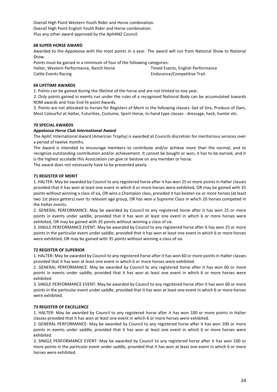Overall High Point Western Youth Rider and Horse combination. Overall High Point English Youth Rider and Horse combination. Plus any other award approved by the ApHANZ Council.

#### **68 SUPER HORSE AWARD**

Awarded to the Appaloosa with the most points in a year. The award will run from National Show to National Show.

Points must be gained in a minimum of four of the following categories:

Halter, Western Performance, Ranch Horse Timed Events, English Performance Cattle Events Racing **Endurance**/Competitive Trail.

#### **69 LIFETIME AWARDS**

1. Points can be gained during the lifetime of the horse and are not limited to one year.

2. Only points gained in events run under the rules of a recognised National Body can be accumulated towards ROM awards and Year End Hi-point Awards.

3. Points are not allocated to horses for Registers of Merit in the following classes: Get of Sire, Produce of Dam, Most Colourful at Halter, Futurities, Costume, Sport Horse, In-hand type classes - dressage, hack, hunter etc.

#### **70 SPECIAL AWARDS**

#### *Appaloosa Horse Club International Award*

The ApHC International Award (American Trophy) is awarded at Councils discretion for meritorious services over a period of twelve months.

The Award is intended to encourage members to contribute and/or achieve more than the normal, and to recognize outstanding contribution and/or achievement. It cannot be bought or won, it has to be earned, and it is the highest accolade this Association can give or bestow on any member or horse.

The award does not necessarily have to be presented yearly.

#### **71 REGISTER OF MERIT**

1. HALTER: May be awarded by Council to any registered horse after it has won 25 or more points in Halter classes provided that it has won at least one event in which 6 or more horses were exhibited, OR may be gained with 35 points without winning a class of six, OR wins a Champion class, provided it has beaten six or more horses (at least two 1st place getters) over its relevant age group, OR has won a Supreme Class in which 20 horses competed in the Halter events.

2. GENERAL PERFORMANCE: May be awarded by Council to any registered horse after it has won 25 or more points in events under saddle, provided that it has won at least one event in which 6 or more horses were exhibited, OR may be gained with 35 points without winning a class of six.

3. SINGLE PERFORMANCE EVENT: May be awarded by Council to any registered horse after it has won 25 or more points in the particular event under saddle, provided that it has won at least one event in which 6 or more horses were exhibited, OR may be gained with 35 points without winning a class of six.

#### **72 REGISTER OF SUPERIOR**

1. HALTER: May be awarded by Council to any registered horse after it has won 60 or more points in Halter classes provided that it has won at least one event in which 6 or more horses were exhibited.

2. GENERAL PERFORMANCE: May be awarded by Council to any registered horse after it has won 60 or more points in events under saddle, provided that it has won at least one event in which 6 or more horses were exhibited.

3. SINGLE PERFORMANCE EVENT: May be awarded by Council to any registered horse after it has won 60 or more points in the particular event under saddle, provided that it has won at least one event in which 6 or more horses were exhibited.

#### **73 REGISTER OF EXCELLENCE**

1. HALTER: May be awarded by Council to any registered horse after it has won 100 or more points in Halter classes provided that it has won at least one event in which 6 or more horses were exhibited.

2. GENERAL PERFORMANCE: May be awarded by Council to any registered horse after it has won 100 or more points in events under saddle, provided that it has won at least one event in which 6 or more horses were exhibited.

3. SINGLE PERFORMANCE EVENT: May be awarded by Council to any registered horse after it has won 100 or more points in the particular event under saddle, provided that it has won at least one event in which 6 or more horses were exhibited.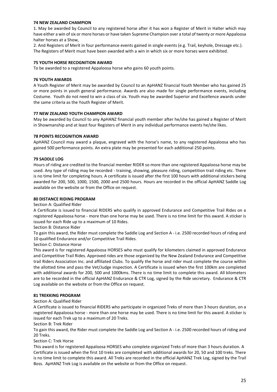#### **74 NEW ZEALAND CHAMPION**

1. May be awarded by Council to any registered horse after it has won a Register of Merit in Halter which may have either a win of six or more horses or have taken Supreme Champion over a total of twenty or more Appaloosa halter horses at a Show,

2. And Registers of Merit in four performance events gained in single events (e.g. Trail, keyhole, Dressage etc.). The Registers of Merit must have been awarded with a win in which six or more horses were exhibited.

#### **75 YOUTH HORSE RECOGNITION AWARD**

To be awarded to a registered Appaloosa horse who gains 60 youth points.

#### **76 YOUTH AWARDS**

A Youth Register of Merit may be awarded by Council to an ApHANZ financial Youth Member who has gained 25 or more points in youth general performance. Awards are also made for single performance events, including Costume. Youth do not need to win a class of six. Youth may be awarded Superior and Excellence awards under the same criteria as the Youth Register of Merit.

#### **77 NEW ZEALAND YOUTH CHAMPION AWARD**

May be awarded by Council to any ApHANZ financial youth member after he/she has gained a Register of Merit in Showmanship and at least four Registers of Merit in any individual performance events he/she likes.

#### **78 POINTS RECOGNITION AWARD**

ApHANZ Council may award a plaque, engraved with the horse's name, to any registered Appaloosa who has gained 500 performance points. An extra plate may be presented for each additional 250 points.

#### **79 SADDLE LOG**

Hours of riding are credited to the financial member RIDER so more than one registered Appaloosa horse may be used. Any type of riding may be recorded - training, showing, pleasure riding, competition trail riding etc. There is no time limit for completing hours. A certificate is issued after the first 100 hours with additional stickers being awarded for 200, 500, 1000, 1500, 2000 and 2500 hours. Hours are recorded in the official ApHANZ Saddle Log available on the website or from the Office on request.

#### **80 DISTANCE RIDING PROGRAM**

#### Section A: Qualified Rider

A Certificate is issued to financial RIDERS who qualify in approved Endurance and Competitive Trail Rides on a registered Appaloosa horse - more than one horse may be used. There is no time limit for this award. A sticker is issued for each Ride up to a maximum of 10 Rides.

Section B: Distance Rider

To gain this award, the Rider must complete the Saddle Log and Section A - i.e. 2500 recorded hours of riding and 10 qualified Endurance and/or Competitive Trail Rides.

Section C: Distance Horse

This award is for registered Appaloosa HORSES who must qualify for kilometers claimed in approved Endurance and Competitive Trail Rides. Approved rides are those organized by the New Zealand Endurance and Competitive trail Riders Association Inc. and affiliated Clubs. To qualify the horse and rider must complete the course within the allotted time and pass the Vet/Judge inspection. A Certificate is issued when the first 100km are completed with additional awards for 200, 500 and 1000kms. There is no time limit to complete this award. All kilometers are to be recorded in the official ApHANZ Endurance & CTR Log, signed by the Ride secretary. Endurance & CTR Log available on the website or from the Office on request.

#### **81 TREKKING PROGRAM**

#### Section A: Qualified Rider

A Certificate is issued to financial RIDERS who participate in organized Treks of more than 3 hours duration, on a registered Appaloosa horse - more than one horse may be used. There is no time limit for this award. A sticker is issued for each Trek up to a maximum of 20 Treks.

Section B: Trek Rider

To gain this award, the Rider must complete the Saddle Log and Section A - i.e. 2500 recorded hours of riding and 20 Treks.

Section C: Trek Horse

This award is for registered Appaloosa HORSES who complete organized Treks of more than 3 hours duration. A Certificate is issued when the first 10 treks are completed with additional awards for 20, 50 and 100 treks. There is no time limit to complete this award. All Treks are recorded in the official ApHANZ Trek Log, signed by the Trail Boss. ApHANZ Trek Log is available on the website or from the Office on request.